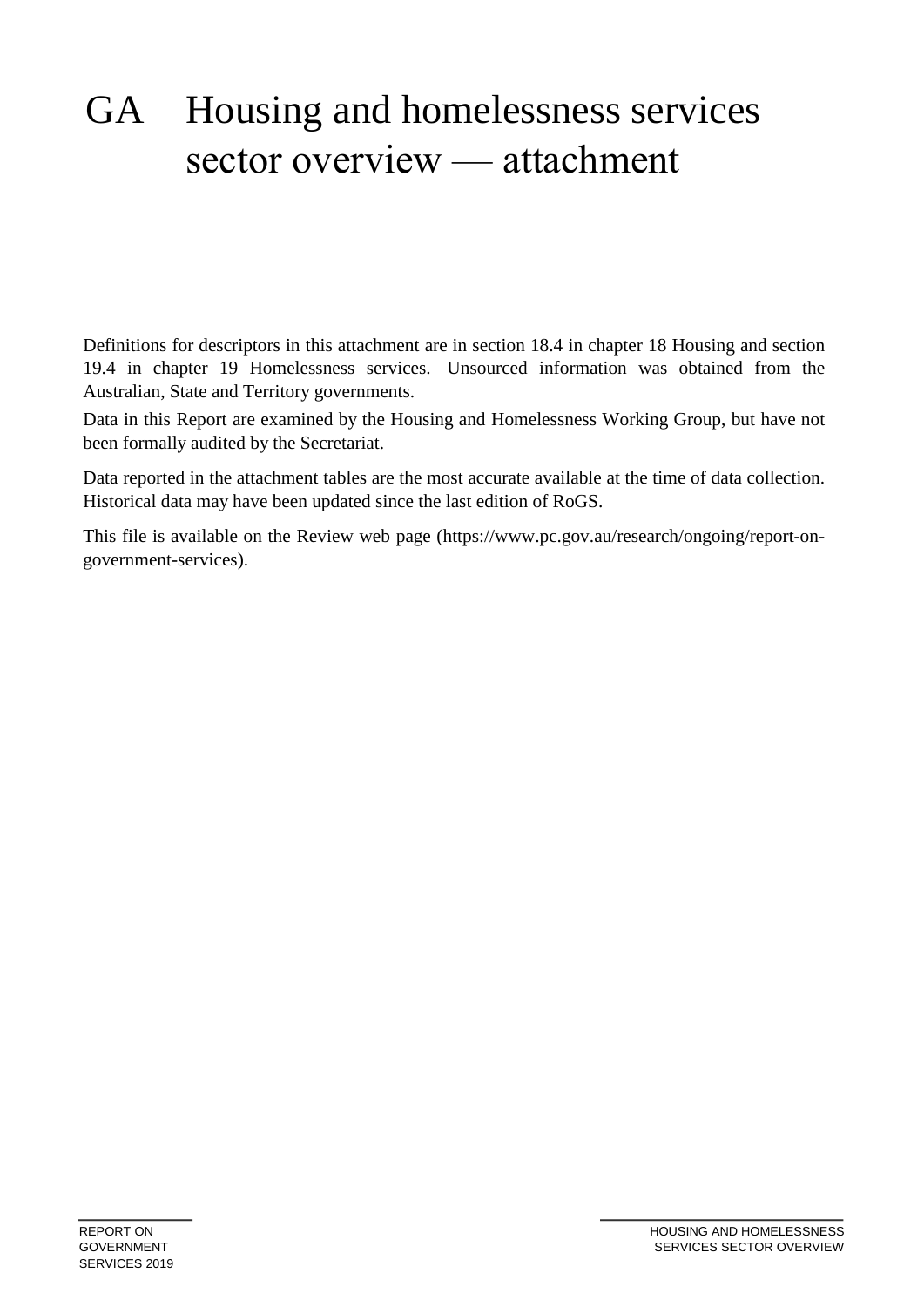# GA Housing and homelessness services sector overview — attachment

Definitions for descriptors in this attachment are in section 18.4 in chapter 18 Housing and section 19.4 in chapter 19 Homelessness services. Unsourced information was obtained from the Australian, State and Territory governments.

Data in this Report are examined by the Housing and Homelessness Working Group, but have not been formally audited by the Secretariat.

Data reported in the attachment tables are the most accurate available at the time of data collection. Historical data may have been updated since the last edition of RoGS.

This file is available on the Review web page (https://www.pc.gov.au/research/ongoing/report-ongovernment-services).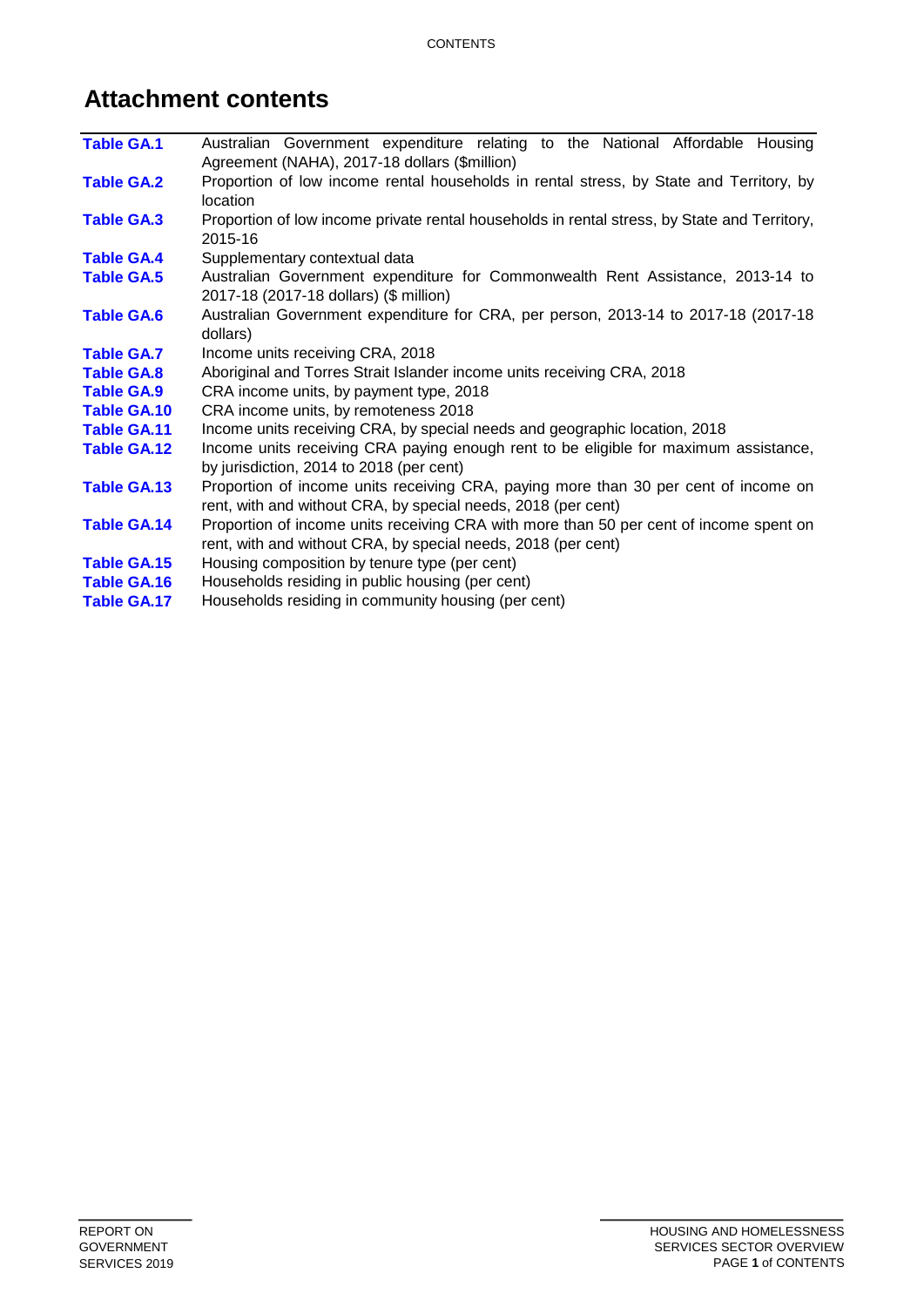## **Attachment contents**

| <b>Table GA.1</b>  | Australian Government expenditure relating to the National Affordable Housing<br>Agreement (NAHA), 2017-18 dollars (\$million)                          |
|--------------------|---------------------------------------------------------------------------------------------------------------------------------------------------------|
| <b>Table GA.2</b>  | Proportion of low income rental households in rental stress, by State and Territory, by<br>location                                                     |
| <b>Table GA.3</b>  | Proportion of low income private rental households in rental stress, by State and Territory,<br>2015-16                                                 |
| <b>Table GA.4</b>  | Supplementary contextual data                                                                                                                           |
| <b>Table GA.5</b>  | Australian Government expenditure for Commonwealth Rent Assistance, 2013-14 to<br>2017-18 (2017-18 dollars) (\$ million)                                |
| <b>Table GA.6</b>  | Australian Government expenditure for CRA, per person, 2013-14 to 2017-18 (2017-18<br>dollars)                                                          |
| <b>Table GA.7</b>  | Income units receiving CRA, 2018                                                                                                                        |
| <b>Table GA.8</b>  | Aboriginal and Torres Strait Islander income units receiving CRA, 2018                                                                                  |
| <b>Table GA.9</b>  | CRA income units, by payment type, 2018                                                                                                                 |
| Table GA.10        | CRA income units, by remoteness 2018                                                                                                                    |
| <b>Table GA.11</b> | Income units receiving CRA, by special needs and geographic location, 2018                                                                              |
| <b>Table GA.12</b> | Income units receiving CRA paying enough rent to be eligible for maximum assistance,<br>by jurisdiction, 2014 to 2018 (per cent)                        |
| Table GA.13        | Proportion of income units receiving CRA, paying more than 30 per cent of income on<br>rent, with and without CRA, by special needs, 2018 (per cent)    |
| <b>Table GA.14</b> | Proportion of income units receiving CRA with more than 50 per cent of income spent on<br>rent, with and without CRA, by special needs, 2018 (per cent) |
| Table GA.15        | Housing composition by tenure type (per cent)                                                                                                           |
| <b>Table GA.16</b> | Households residing in public housing (per cent)                                                                                                        |
| <b>Table GA.17</b> | Households residing in community housing (per cent)                                                                                                     |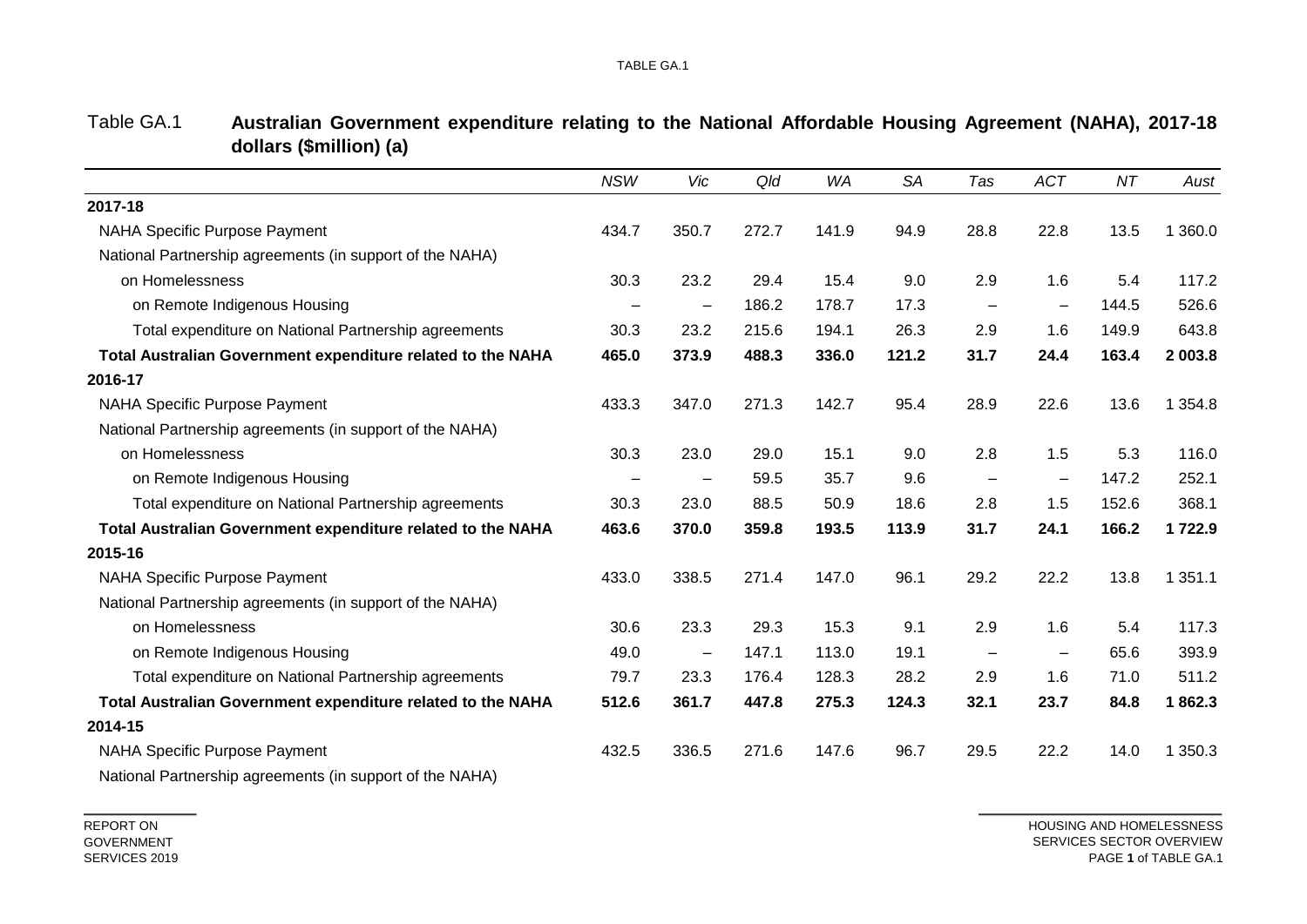|                                                             | <b>NSW</b> | Vic                      | Qld   | <b>WA</b> | <b>SA</b> | Tas                      | <b>ACT</b>               | NT    | Aust        |
|-------------------------------------------------------------|------------|--------------------------|-------|-----------|-----------|--------------------------|--------------------------|-------|-------------|
| 2017-18                                                     |            |                          |       |           |           |                          |                          |       |             |
| <b>NAHA Specific Purpose Payment</b>                        | 434.7      | 350.7                    | 272.7 | 141.9     | 94.9      | 28.8                     | 22.8                     | 13.5  | 1 360.0     |
| National Partnership agreements (in support of the NAHA)    |            |                          |       |           |           |                          |                          |       |             |
| on Homelessness                                             | 30.3       | 23.2                     | 29.4  | 15.4      | 9.0       | 2.9                      | 1.6                      | 5.4   | 117.2       |
| on Remote Indigenous Housing                                |            | -                        | 186.2 | 178.7     | 17.3      | $\overline{\phantom{m}}$ | $\qquad \qquad \qquad$   | 144.5 | 526.6       |
| Total expenditure on National Partnership agreements        | 30.3       | 23.2                     | 215.6 | 194.1     | 26.3      | 2.9                      | 1.6                      | 149.9 | 643.8       |
| Total Australian Government expenditure related to the NAHA | 465.0      | 373.9                    | 488.3 | 336.0     | 121.2     | 31.7                     | 24.4                     | 163.4 | 2 003.8     |
| 2016-17                                                     |            |                          |       |           |           |                          |                          |       |             |
| NAHA Specific Purpose Payment                               | 433.3      | 347.0                    | 271.3 | 142.7     | 95.4      | 28.9                     | 22.6                     | 13.6  | 1 3 5 4 . 8 |
| National Partnership agreements (in support of the NAHA)    |            |                          |       |           |           |                          |                          |       |             |
| on Homelessness                                             | 30.3       | 23.0                     | 29.0  | 15.1      | 9.0       | 2.8                      | 1.5                      | 5.3   | 116.0       |
| on Remote Indigenous Housing                                |            |                          | 59.5  | 35.7      | 9.6       |                          | $\equiv$                 | 147.2 | 252.1       |
| Total expenditure on National Partnership agreements        | 30.3       | 23.0                     | 88.5  | 50.9      | 18.6      | 2.8                      | 1.5                      | 152.6 | 368.1       |
| Total Australian Government expenditure related to the NAHA | 463.6      | 370.0                    | 359.8 | 193.5     | 113.9     | 31.7                     | 24.1                     | 166.2 | 1722.9      |
| 2015-16                                                     |            |                          |       |           |           |                          |                          |       |             |
| <b>NAHA Specific Purpose Payment</b>                        | 433.0      | 338.5                    | 271.4 | 147.0     | 96.1      | 29.2                     | 22.2                     | 13.8  | 1 3 5 1 . 1 |
| National Partnership agreements (in support of the NAHA)    |            |                          |       |           |           |                          |                          |       |             |
| on Homelessness                                             | 30.6       | 23.3                     | 29.3  | 15.3      | 9.1       | 2.9                      | 1.6                      | 5.4   | 117.3       |
| on Remote Indigenous Housing                                | 49.0       | $\overline{\phantom{m}}$ | 147.1 | 113.0     | 19.1      | $\qquad \qquad -$        | $\overline{\phantom{0}}$ | 65.6  | 393.9       |
| Total expenditure on National Partnership agreements        | 79.7       | 23.3                     | 176.4 | 128.3     | 28.2      | 2.9                      | 1.6                      | 71.0  | 511.2       |
| Total Australian Government expenditure related to the NAHA | 512.6      | 361.7                    | 447.8 | 275.3     | 124.3     | 32.1                     | 23.7                     | 84.8  | 1862.3      |
| 2014-15                                                     |            |                          |       |           |           |                          |                          |       |             |
| <b>NAHA Specific Purpose Payment</b>                        | 432.5      | 336.5                    | 271.6 | 147.6     | 96.7      | 29.5                     | 22.2                     | 14.0  | 1 350.3     |
|                                                             |            |                          |       |           |           |                          |                          |       |             |

Table GA.1 **Australian Government expenditure relating to the National Affordable Housing Agreement (NAHA), 2017-18 dollars (\$million) (a)**

National Partnership agreements (in support of the NAHA)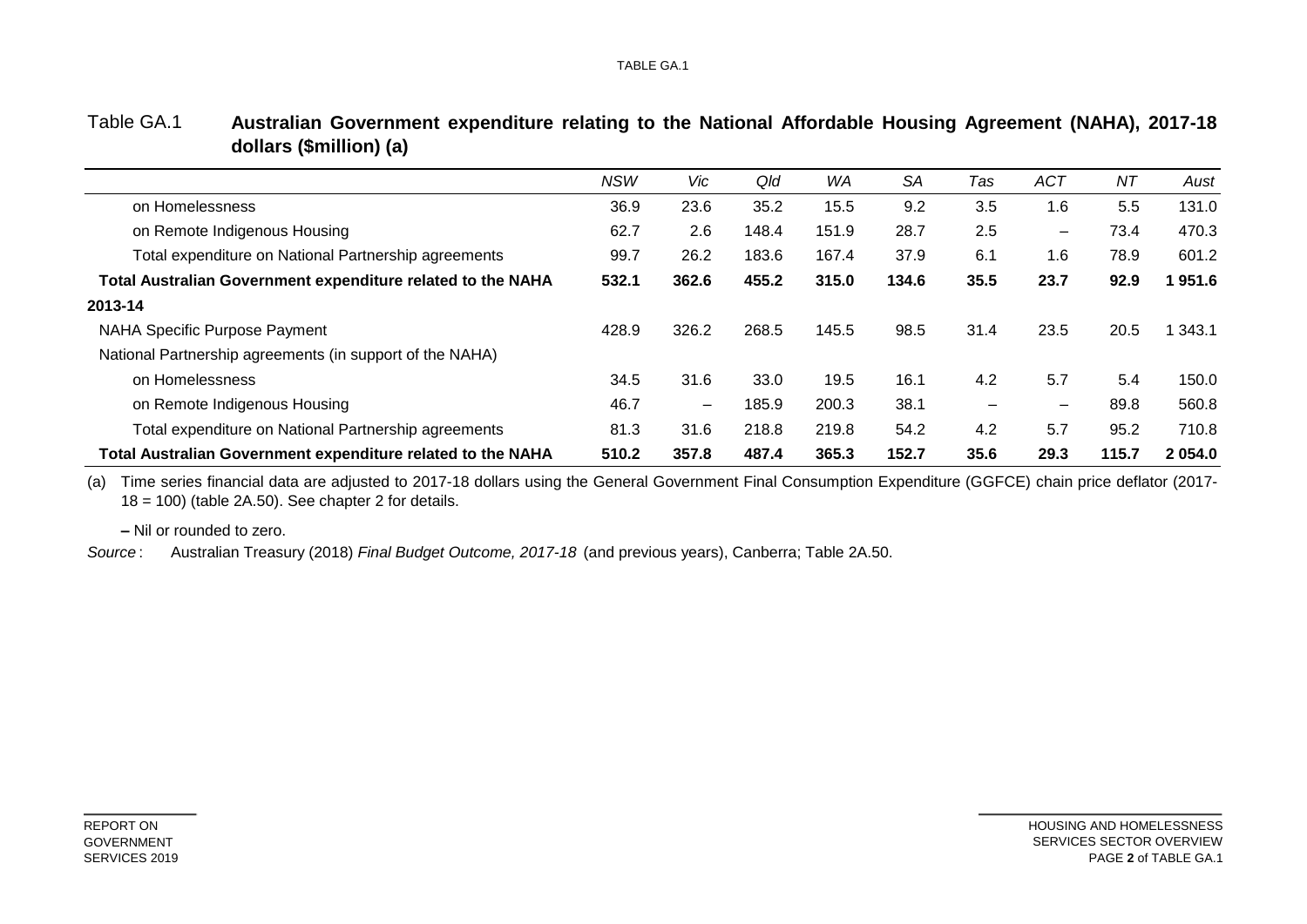|                                                             | <b>NSW</b> | Vic                      | Qld   | WA    | SA    | Tas                      | ACT                      | ΝT    | Aust       |
|-------------------------------------------------------------|------------|--------------------------|-------|-------|-------|--------------------------|--------------------------|-------|------------|
| on Homelessness                                             | 36.9       | 23.6                     | 35.2  | 15.5  | 9.2   | 3.5                      | 1.6                      | 5.5   | 131.0      |
| on Remote Indigenous Housing                                | 62.7       | 2.6                      | 148.4 | 151.9 | 28.7  | 2.5                      | $\overline{\phantom{0}}$ | 73.4  | 470.3      |
| Total expenditure on National Partnership agreements        | 99.7       | 26.2                     | 183.6 | 167.4 | 37.9  | 6.1                      | 1.6                      | 78.9  | 601.2      |
| Total Australian Government expenditure related to the NAHA | 532.1      | 362.6                    | 455.2 | 315.0 | 134.6 | 35.5                     | 23.7                     | 92.9  | 1951.6     |
| 2013-14                                                     |            |                          |       |       |       |                          |                          |       |            |
| NAHA Specific Purpose Payment                               | 428.9      | 326.2                    | 268.5 | 145.5 | 98.5  | 31.4                     | 23.5                     | 20.5  | 343.1      |
| National Partnership agreements (in support of the NAHA)    |            |                          |       |       |       |                          |                          |       |            |
| on Homelessness                                             | 34.5       | 31.6                     | 33.0  | 19.5  | 16.1  | 4.2                      | 5.7                      | 5.4   | 150.0      |
| on Remote Indigenous Housing                                | 46.7       | $\overline{\phantom{0}}$ | 185.9 | 200.3 | 38.1  | $\overline{\phantom{m}}$ | $\overline{\phantom{0}}$ | 89.8  | 560.8      |
| Total expenditure on National Partnership agreements        | 81.3       | 31.6                     | 218.8 | 219.8 | 54.2  | 4.2                      | 5.7                      | 95.2  | 710.8      |
| Total Australian Government expenditure related to the NAHA | 510.2      | 357.8                    | 487.4 | 365.3 | 152.7 | 35.6                     | 29.3                     | 115.7 | 2 0 5 4 .0 |

#### Table GA.1 **Australian Government expenditure relating to the National Affordable Housing Agreement (NAHA), 2017-18 dollars (\$million) (a)**

(a) Time series financial data are adjusted to 2017-18 dollars using the General Government Final Consumption Expenditure (GGFCE) chain price deflator (2017-  $18 = 100$ ) (table 2A.50). See chapter 2 for details.

**–** Nil or rounded to zero.

Australian Treasury (2018) *Final Budget Outcome, 2017-18* (and previous years), Canberra; Table 2A.50. *Source* :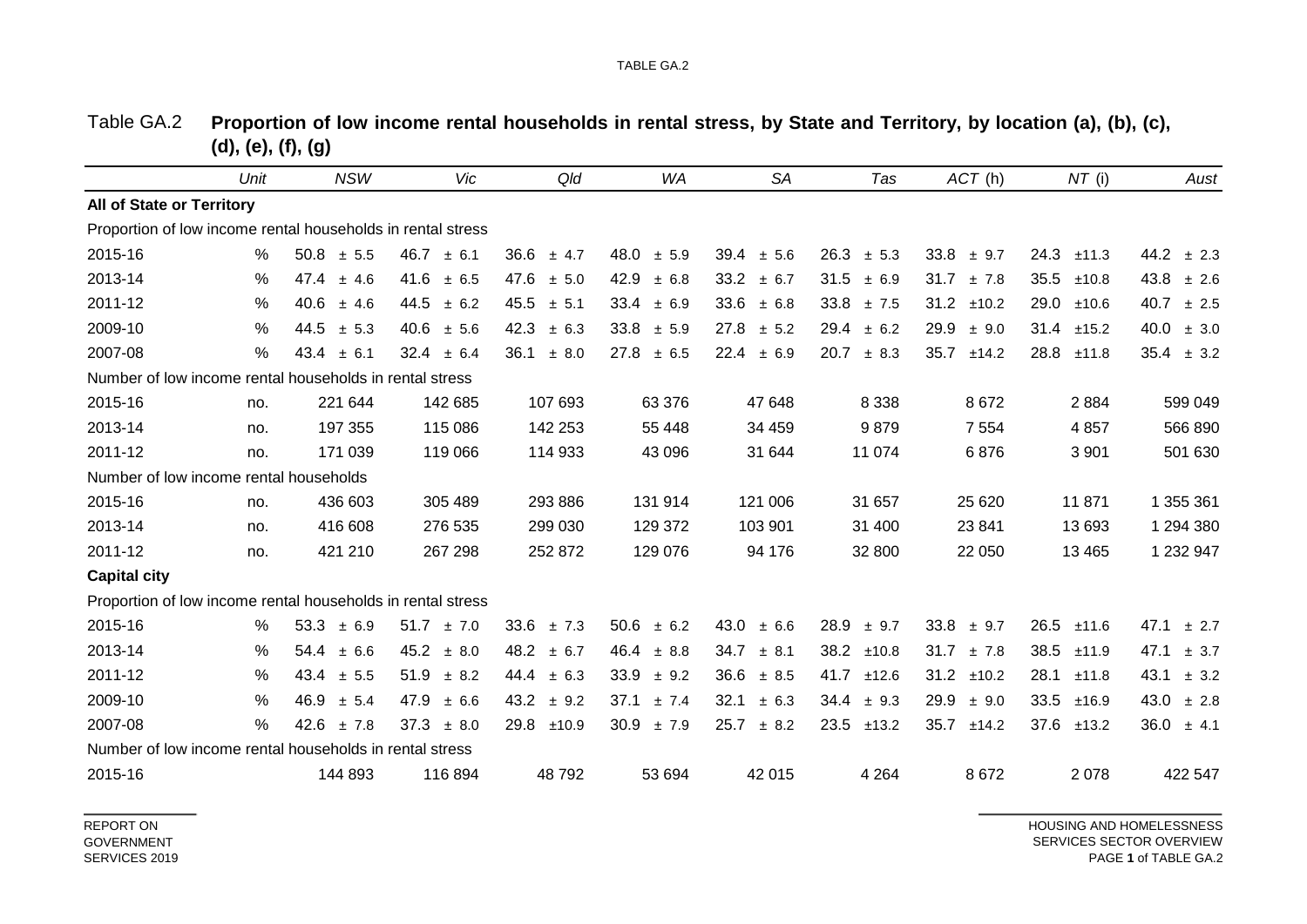|                                                             | Unit | <b>NSW</b>     | Vic            | Qld            | <b>WA</b>     | <b>SA</b>     | Tas            | ACT (h)       | $NT$ (i)      | Aust          |
|-------------------------------------------------------------|------|----------------|----------------|----------------|---------------|---------------|----------------|---------------|---------------|---------------|
| All of State or Territory                                   |      |                |                |                |               |               |                |               |               |               |
| Proportion of low income rental households in rental stress |      |                |                |                |               |               |                |               |               |               |
| 2015-16                                                     | $\%$ | 50.8<br>± 5.5  | 46.7<br>± 6.1  | 36.6<br>± 4.7  | 48.0<br>± 5.9 | 39.4<br>± 5.6 | 26.3<br>± 5.3  | 33.8<br>± 9.7 | 24.3<br>±11.3 | 44.2<br>± 2.3 |
| 2013-14                                                     | %    | 47.4<br>± 4.6  | 41.6<br>± 6.5  | 47.6<br>± 5.0  | 42.9<br>± 6.8 | 33.2<br>± 6.7 | 31.5<br>± 6.9  | 31.7<br>±7.8  | 35.5<br>±10.8 | 43.8<br>± 2.6 |
| 2011-12                                                     | $\%$ | 40.6<br>± 4.6  | 44.5<br>± 6.2  | 45.5<br>± 5.1  | 33.4<br>± 6.9 | 33.6<br>± 6.8 | 33.8<br>±7.5   | 31.2<br>±10.2 | 29.0<br>±10.6 | 40.7<br>± 2.5 |
| 2009-10                                                     | %    | 44.5<br>± 5.3  | 40.6<br>± 5.6  | 42.3<br>± 6.3  | 33.8<br>± 5.9 | 27.8<br>± 5.2 | 29.4<br>± 6.2  | 29.9<br>± 9.0 | 31.4<br>±15.2 | 40.0<br>± 3.0 |
| 2007-08                                                     | %    | 43.4<br>± 6.1  | 32.4<br>± 6.4  | 36.1<br>± 8.0  | 27.8<br>± 6.5 | 22.4<br>± 6.9 | 20.7<br>± 8.3  | 35.7<br>±14.2 | 28.8<br>±11.8 | 35.4<br>± 3.2 |
| Number of low income rental households in rental stress     |      |                |                |                |               |               |                |               |               |               |
| 2015-16                                                     | no.  | 221 644        | 142 685        | 107 693        | 63 376        | 47 648        | 8 3 3 8        | 8672          | 2884          | 599 049       |
| 2013-14                                                     | no.  | 197 355        | 115 086        | 142 253        | 55 4 48       | 34 459        | 9879           | 7 5 5 4       | 4857          | 566 890       |
| 2011-12                                                     | no.  | 171 039        | 119 066        | 114 933        | 43 096        | 31 644        | 11 074         | 6876          | 3 9 0 1       | 501 630       |
| Number of low income rental households                      |      |                |                |                |               |               |                |               |               |               |
| 2015-16                                                     | no.  | 436 603        | 305 489        | 293 886        | 131 914       | 121 006       | 31 657         | 25 6 20       | 11871         | 1 355 361     |
| 2013-14                                                     | no.  | 416 608        | 276 535        | 299 030        | 129 372       | 103 901       | 31 400         | 23 841        | 13 693        | 1 294 380     |
| 2011-12                                                     | no.  | 421 210        | 267 298        | 252 872        | 129 076       | 94 176        | 32 800         | 22 050        | 13 4 65       | 1 232 947     |
| <b>Capital city</b>                                         |      |                |                |                |               |               |                |               |               |               |
| Proportion of low income rental households in rental stress |      |                |                |                |               |               |                |               |               |               |
| 2015-16                                                     | %    | 53.3<br>± 6.9  | $51.7 \pm 7.0$ | 33.6<br>±7.3   | 50.6<br>± 6.2 | 43.0<br>± 6.6 | $28.9 \pm 9.7$ | 33.8<br>± 9.7 | 26.5<br>±11.6 | 47.1<br>± 2.7 |
| 2013-14                                                     | %    | 54.4<br>± 6.6  | 45.2<br>± 8.0  | 48.2<br>± 6.7  | 46.4<br>± 8.8 | 34.7<br>± 8.1 | 38.2<br>±10.8  | 31.7<br>±7.8  | 38.5<br>±11.9 | 47.1<br>± 3.7 |
| 2011-12                                                     | %    | $43.4 \pm 5.5$ | 51.9<br>± 8.2  | $44.4 \pm 6.3$ | 33.9<br>± 9.2 | 36.6<br>± 8.5 | 41.7<br>±12.6  | 31.2<br>±10.2 | 28.1<br>±11.8 | 43.1<br>± 3.2 |
| 2009-10                                                     | %    | 46.9<br>± 5.4  | 47.9<br>± 6.6  | 43.2<br>± 9.2  | 37.1<br>±7.4  | 32.1<br>± 6.3 | 34.4<br>± 9.3  | 29.9<br>± 9.0 | 33.5<br>±16.9 | 43.0<br>± 2.8 |
| 2007-08                                                     | $\%$ | 42.6<br>±7.8   | 37.3<br>± 8.0  | 29.8<br>±10.9  | 30.9<br>±7.9  | 25.7<br>± 8.2 | 23.5<br>±13.2  | 35.7<br>±14.2 | 37.6<br>±13.2 | 36.0<br>± 4.1 |
| Number of low income rental households in rental stress     |      |                |                |                |               |               |                |               |               |               |
| 2015-16                                                     |      | 144 893        | 116 894        | 48792          | 53 694        | 42 015        | 4 2 6 4        | 8672          | 2078          | 422 547       |

Table GA.2 Proportion of low income rental households in rental stress, by State and Territory, by location (a), (b), (c), **(d), (e), (f), (g)**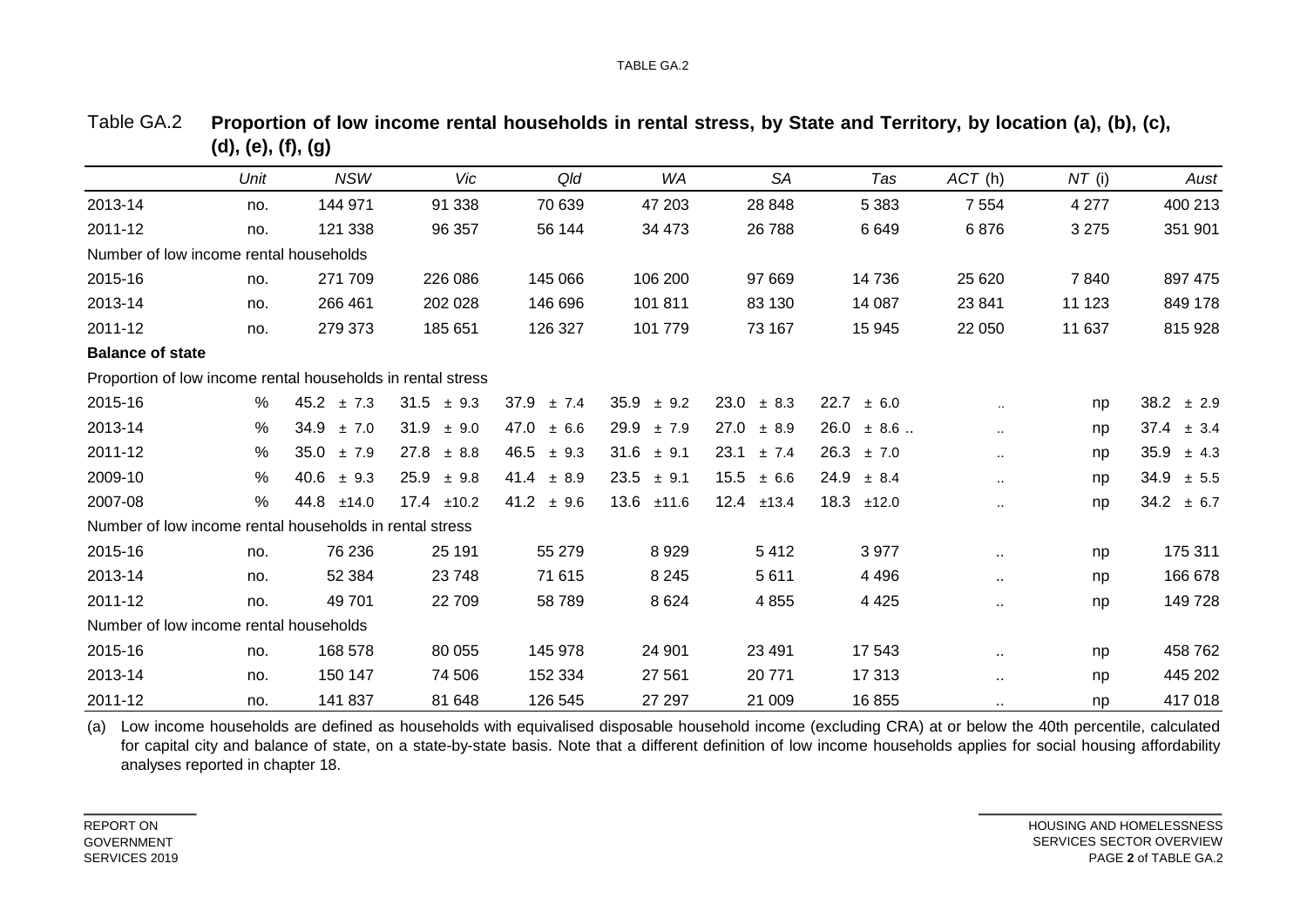|                                                             | Unit | <b>NSW</b>     | Vic            | Qld           | <b>WA</b>      | <b>SA</b>     | Tas             | ACT(h)    | $NT$ (i) | Aust          |
|-------------------------------------------------------------|------|----------------|----------------|---------------|----------------|---------------|-----------------|-----------|----------|---------------|
| 2013-14                                                     | no.  | 144 971        | 91 338         | 70 639        | 47 203         | 28 848        | 5 3 8 3         | 7 5 5 4   | 4 2 7 7  | 400 213       |
| 2011-12                                                     | no.  | 121 338        | 96 357         | 56 144        | 34 473         | 26 788        | 6649            | 6876      | 3 2 7 5  | 351 901       |
| Number of low income rental households                      |      |                |                |               |                |               |                 |           |          |               |
| 2015-16                                                     | no.  | 271 709        | 226 086        | 145 066       | 106 200        | 97 669        | 14 736          | 25 6 20   | 7840     | 897 475       |
| 2013-14                                                     | no.  | 266 461        | 202 028        | 146 696       | 101 811        | 83 130        | 14 087          | 23 841    | 11 123   | 849 178       |
| 2011-12                                                     | no.  | 279 373        | 185 651        | 126 327       | 101 779        | 73 167        | 15 945          | 22 050    | 11 637   | 815 928       |
| <b>Balance of state</b>                                     |      |                |                |               |                |               |                 |           |          |               |
| Proportion of low income rental households in rental stress |      |                |                |               |                |               |                 |           |          |               |
| 2015-16                                                     | %    | $45.2 \pm 7.3$ | $31.5 \pm 9.3$ | 37.9<br>± 7.4 | $35.9 \pm 9.2$ | 23.0<br>± 8.3 | 22.7<br>± 6.0   |           | np       | 38.2<br>± 2.9 |
| 2013-14                                                     | %    | 34.9<br>±7.0   | 31.9<br>± 9.0  | 47.0<br>± 6.6 | 29.9<br>±7.9   | 27.0<br>± 8.9 | 26.0<br>$± 8.6$ |           | np       | 37.4<br>± 3.4 |
| 2011-12                                                     | %    | 35.0<br>±7.9   | 27.8<br>± 8.8  | 46.5<br>± 9.3 | 31.6<br>± 9.1  | 23.1<br>± 7.4 | 26.3<br>±7.0    | $\cdot$ . | np       | 35.9<br>± 4.3 |
| 2009-10                                                     | %    | 40.6<br>± 9.3  | 25.9<br>± 9.8  | 41.4<br>± 8.9 | $23.5 \pm 9.1$ | 15.5<br>± 6.6 | 24.9<br>± 8.4   | $\ddotsc$ | np       | 34.9<br>± 5.5 |
| 2007-08                                                     | %    | 44.8<br>±14.0  | 17.4<br>±10.2  | 41.2<br>± 9.6 | 13.6<br>±11.6  | 12.4<br>±13.4 | 18.3<br>±12.0   | $\ddotsc$ | np       | 34.2<br>± 6.7 |
| Number of low income rental households in rental stress     |      |                |                |               |                |               |                 |           |          |               |
| 2015-16                                                     | no.  | 76 236         | 25 191         | 55 279        | 8929           | 5412          | 3977            | $\sim$    | np       | 175 311       |
| 2013-14                                                     | no.  | 52 384         | 23 748         | 71 615        | 8 2 4 5        | 5611          | 4 4 9 6         | $\sim$    | np       | 166 678       |
| 2011-12                                                     | no.  | 49 701         | 22 709         | 58 789        | 8624           | 4 8 5 5       | 4 4 2 5         | $\sim$    | np       | 149 728       |
| Number of low income rental households                      |      |                |                |               |                |               |                 |           |          |               |
| 2015-16                                                     | no.  | 168 578        | 80 055         | 145 978       | 24 901         | 23 4 91       | 17 543          | $\sim$    | np       | 458 762       |
| 2013-14                                                     | no.  | 150 147        | 74 506         | 152 334       | 27 561         | 20 771        | 17 313          | $\sim$    | np       | 445 202       |
| 2011-12                                                     | no.  | 141 837        | 81 648         | 126 545       | 27 297         | 21 009        | 16855           | $\sim$    | np       | 417 018       |

Table GA.2 Proportion of low income rental households in rental stress, by State and Territory, by location (a), (b), (c), **(d), (e), (f), (g)**

(a) Low income households are defined as households with equivalised disposable household income (excluding CRA) at or below the 40th percentile, calculated for capital city and balance of state, on a state-by-state basis. Note that a different definition of low income households applies for social housing affordability analyses reported in chapter 18.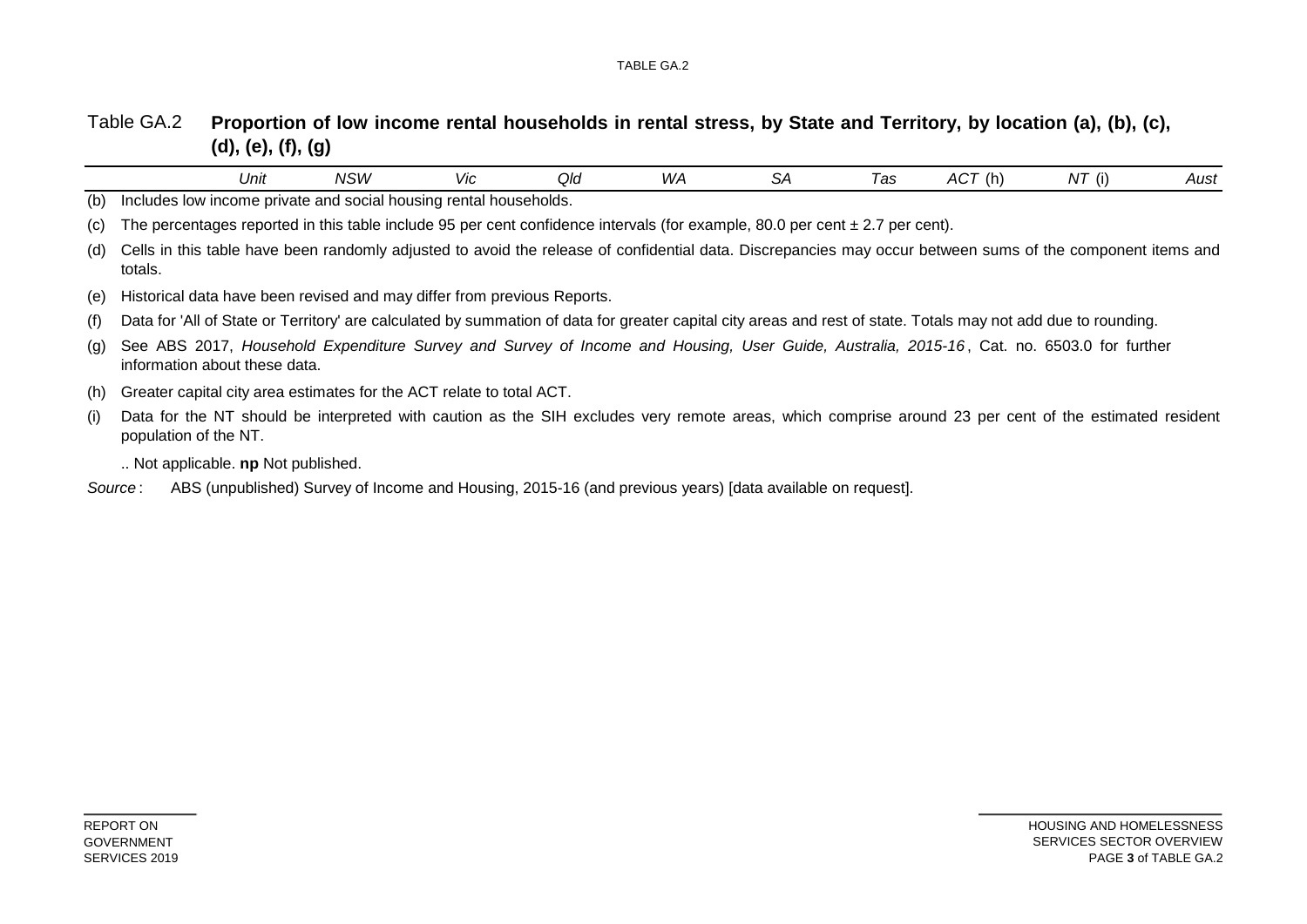#### Table GA.2 Proportion of low income rental households in rental stress, by State and Territory, by location (a), (b), (c), **(d), (e), (f), (g)**

|     |         | Unit                              | NSW                                                                                                                                                            | Vic | Qld | WA | <b>SA</b> | Tas | ACT(h) | $NT$ (i) | Aust |
|-----|---------|-----------------------------------|----------------------------------------------------------------------------------------------------------------------------------------------------------------|-----|-----|----|-----------|-----|--------|----------|------|
| (b) |         |                                   | Includes low income private and social housing rental households.                                                                                              |     |     |    |           |     |        |          |      |
| (C) |         |                                   | The percentages reported in this table include 95 per cent confidence intervals (for example, 80.0 per cent $\pm$ 2.7 per cent).                               |     |     |    |           |     |        |          |      |
| (d) | totals. |                                   | Cells in this table have been randomly adjusted to avoid the release of confidential data. Discrepancies may occur between sums of the component items and     |     |     |    |           |     |        |          |      |
| (e) |         |                                   | Historical data have been revised and may differ from previous Reports.                                                                                        |     |     |    |           |     |        |          |      |
| (f) |         |                                   | Data for 'All of State or Territory' are calculated by summation of data for greater capital city areas and rest of state. Totals may not add due to rounding. |     |     |    |           |     |        |          |      |
| (g) |         | information about these data.     | See ABS 2017, Household Expenditure Survey and Survey of Income and Housing, User Guide, Australia, 2015-16, Cat. no. 6503.0 for further                       |     |     |    |           |     |        |          |      |
| (h) |         |                                   | Greater capital city area estimates for the ACT relate to total ACT.                                                                                           |     |     |    |           |     |        |          |      |
| (i) |         | population of the NT.             | Data for the NT should be interpreted with caution as the SIH excludes very remote areas, which comprise around 23 per cent of the estimated resident          |     |     |    |           |     |        |          |      |
|     |         | Not applicable. np Not published. |                                                                                                                                                                |     |     |    |           |     |        |          |      |
|     | Source: |                                   | ABS (unpublished) Survey of Income and Housing, 2015-16 (and previous years) [data available on request].                                                      |     |     |    |           |     |        |          |      |
|     |         |                                   |                                                                                                                                                                |     |     |    |           |     |        |          |      |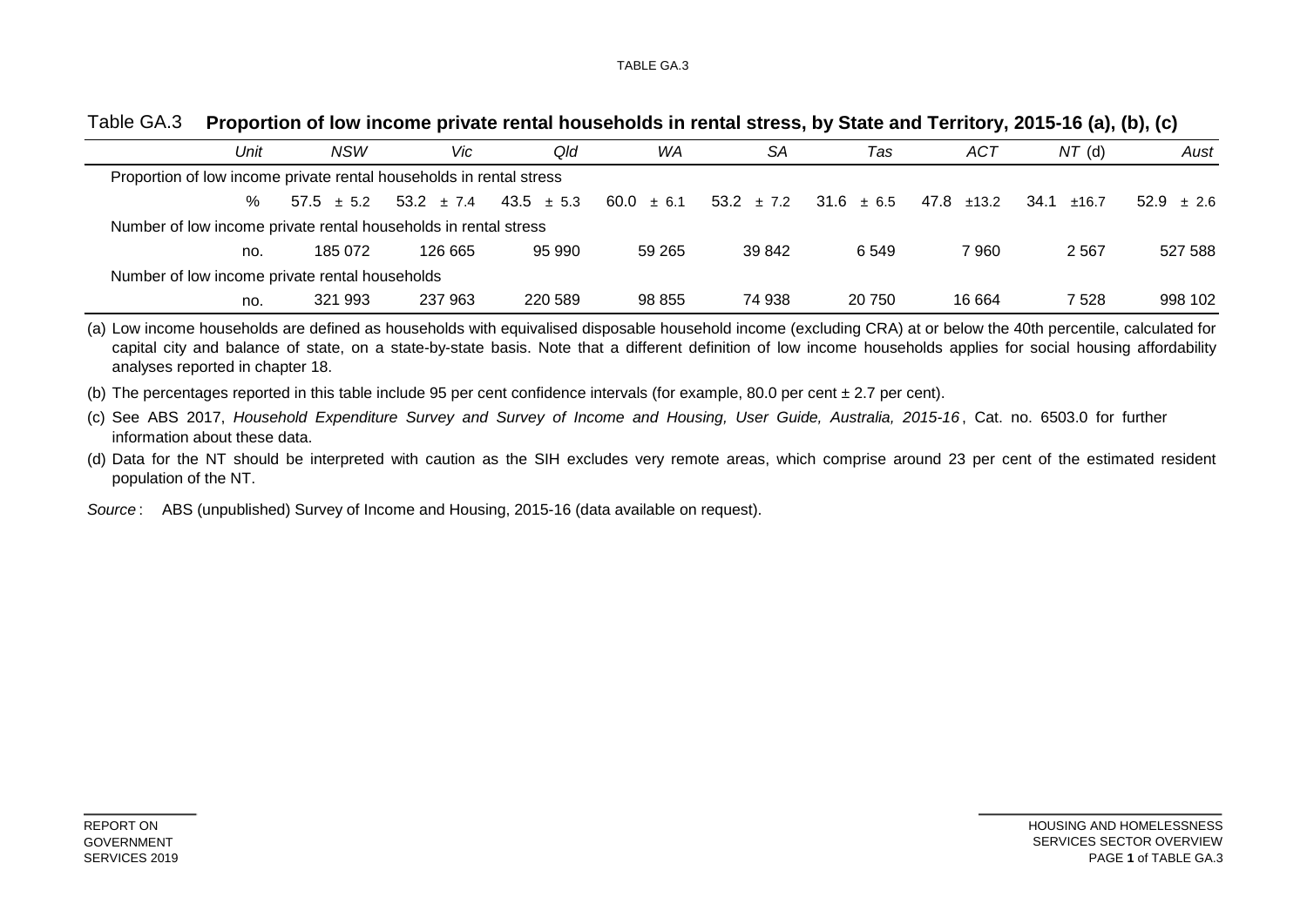| Unit | <b>NSW</b>                                                          | Vic.                                         | Qld     | WA     | SA                                           | Tas    | ACT        | $NT$ (d)        | Aust           |
|------|---------------------------------------------------------------------|----------------------------------------------|---------|--------|----------------------------------------------|--------|------------|-----------------|----------------|
|      | Proportion of low income private rental households in rental stress |                                              |         |        |                                              |        |            |                 |                |
| %    |                                                                     | $57.5 \pm 5.2$ $53.2 \pm 7.4$ $43.5 \pm 5.3$ |         |        | $60.0 \pm 6.1$ $53.2 \pm 7.2$ $31.6 \pm 6.5$ |        | 47.8 ±13.2 | $34.1 \pm 16.7$ | $52.9 \pm 2.6$ |
|      | Number of low income private rental households in rental stress     |                                              |         |        |                                              |        |            |                 |                |
| no.  | 185 072                                                             | 126 665                                      | 95 990  | 59 265 | 39 842                                       | 6 549  | 7960       | 2 5 6 7         | 527 588        |
|      | Number of low income private rental households                      |                                              |         |        |                                              |        |            |                 |                |
| no.  | 321 993                                                             | 237 963                                      | 220 589 | 98 855 | 74 938                                       | 20 750 | 16 664     | 7 528           | 998 102        |

#### Table GA.3 **Proportion of low income private rental households in rental stress, by State and Territory, 2015-16 (a), (b), (c)**

(a) Low income households are defined as households with equivalised disposable household income (excluding CRA) at or below the 40th percentile, calculated for capital city and balance of state, on a state-by-state basis. Note that a different definition of low income households applies for social housing affordability analyses reported in chapter 18.

(b) The percentages reported in this table include 95 per cent confidence intervals (for example, 80.0 per cent ± 2.7 per cent).

(c) See ABS 2017, Household Expenditure Survey and Survey of Income and Housing, User Guide, Australia, 2015-16, Cat. no. 6503.0 for further information about these data.

(d) Data for the NT should be interpreted with caution as the SIH excludes very remote areas, which comprise around 23 per cent of the estimated resident population of the NT.

*Source* : ABS (unpublished) Survey of Income and Housing, 2015-16 (data available on request).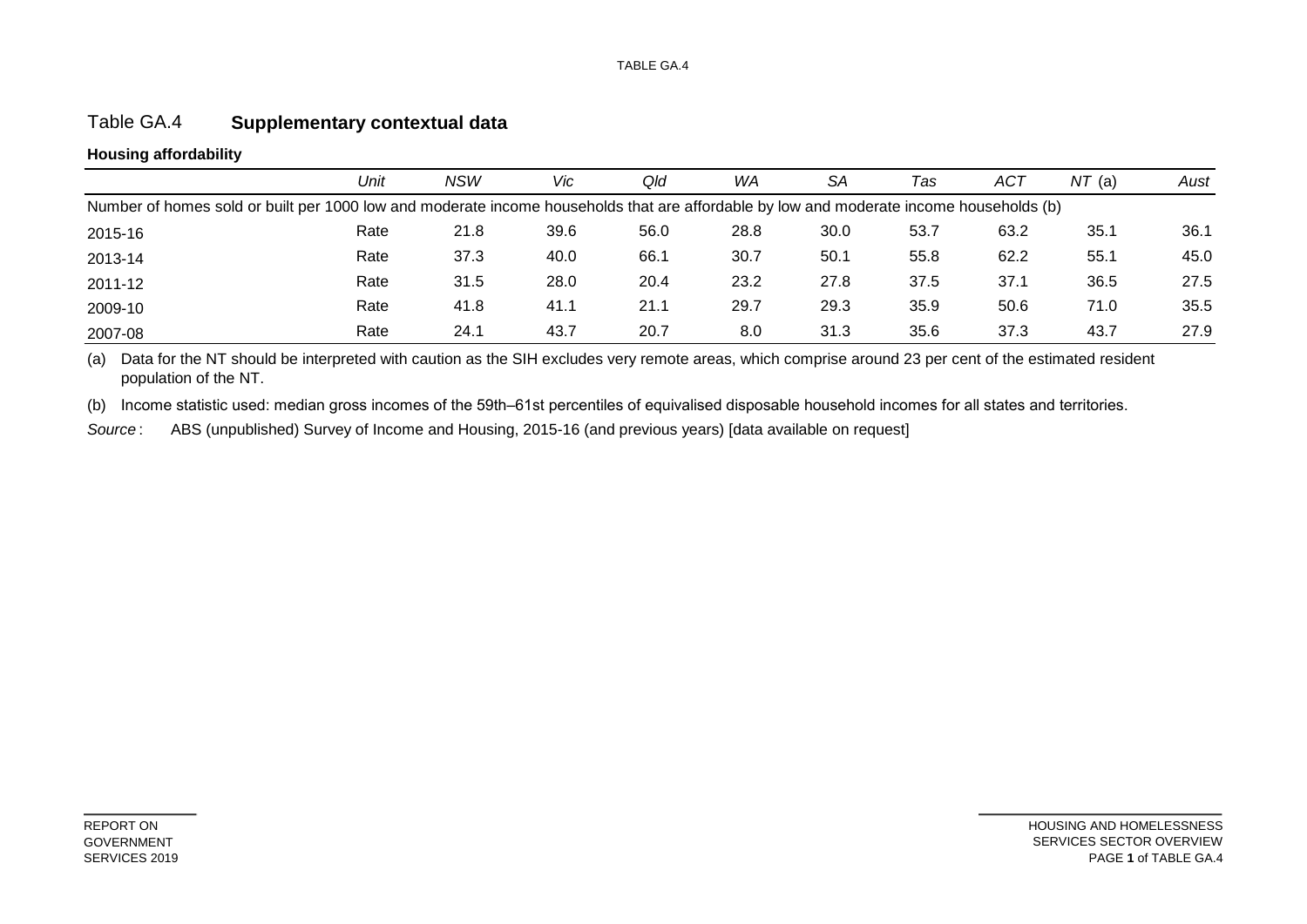### Table GA.4 **Supplementary contextual data**

### **Housing affordability**

|                                                                                                                                         | Unit | <b>NSW</b> | Vic  | Qld  | WA   | SA   | Tas  | ACT  | NT(a) | Aust |  |  |
|-----------------------------------------------------------------------------------------------------------------------------------------|------|------------|------|------|------|------|------|------|-------|------|--|--|
| Number of homes sold or built per 1000 low and moderate income households that are affordable by low and moderate income households (b) |      |            |      |      |      |      |      |      |       |      |  |  |
| 2015-16                                                                                                                                 | Rate | 21.8       | 39.6 | 56.0 | 28.8 | 30.0 | 53.7 | 63.2 | 35.1  | 36.1 |  |  |
| 2013-14                                                                                                                                 | Rate | 37.3       | 40.0 | 66.1 | 30.7 | 50.1 | 55.8 | 62.2 | 55.1  | 45.0 |  |  |
| 2011-12                                                                                                                                 | Rate | 31.5       | 28.0 | 20.4 | 23.2 | 27.8 | 37.5 | 37.1 | 36.5  | 27.5 |  |  |
| 2009-10                                                                                                                                 | Rate | 41.8       | 41.1 | 21.1 | 29.7 | 29.3 | 35.9 | 50.6 | 71.0  | 35.5 |  |  |
| 2007-08                                                                                                                                 | Rate | 24.1       | 43.7 | 20.7 | 8.0  | 31.3 | 35.6 | 37.3 | 43.7  | 27.9 |  |  |

(a) Data for the NT should be interpreted with caution as the SIH excludes very remote areas, which comprise around 23 per cent of the estimated resident population of the NT.

(b) Income statistic used: median gross incomes of the 59th–61st percentiles of equivalised disposable household incomes for all states and territories.

*Source* : ABS (unpublished) Survey of Income and Housing, 2015-16 (and previous years) [data available on request]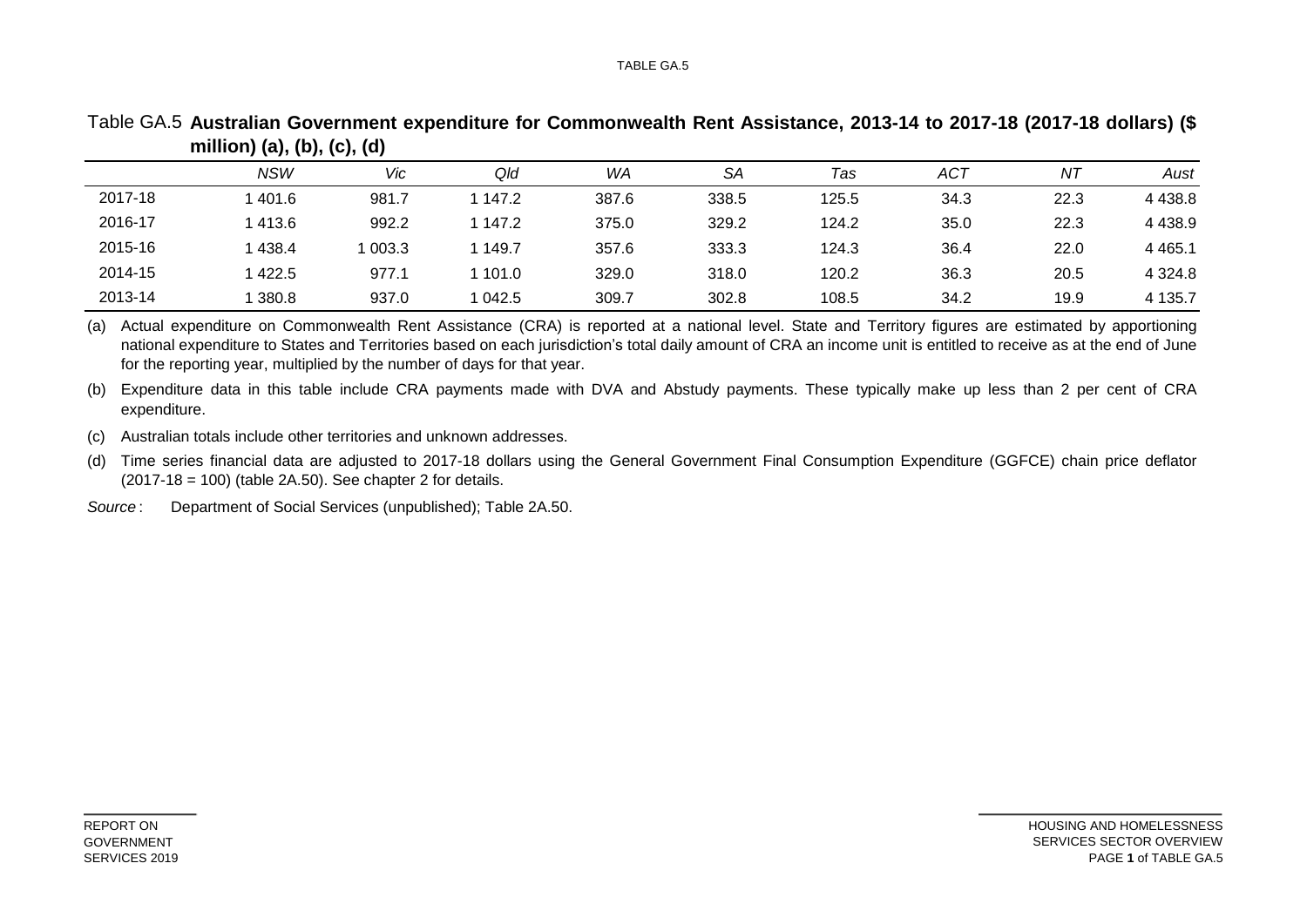|         | <b>NSW</b> | Vic   | Qld     | WA    | SА    | Tas   | <b>ACT</b> | ΝT   | Aust       |
|---------|------------|-------|---------|-------|-------|-------|------------|------|------------|
| 2017-18 | 1401.6     | 981.7 | 147.2   | 387.6 | 338.5 | 125.5 | 34.3       | 22.3 | 4 4 3 8.8  |
| 2016-17 | 1413.6     | 992.2 | 147.2   | 375.0 | 329.2 | 124.2 | 35.0       | 22.3 | 4 4 3 8.9  |
| 2015-16 | 1 438.4    | 003.3 | 149.7   | 357.6 | 333.3 | 124.3 | 36.4       | 22.0 | 4 4 6 5 .1 |
| 2014-15 | 1 422.5    | 977.1 | ∣ 101.0 | 329.0 | 318.0 | 120.2 | 36.3       | 20.5 | 4 3 2 4 .8 |
| 2013-14 | 1 380.8    | 937.0 | 042.5   | 309.7 | 302.8 | 108.5 | 34.2       | 19.9 | 4 1 3 5.7  |

Table GA.5 **Australian Government expenditure for Commonwealth Rent Assistance, 2013-14 to 2017-18 (2017-18 dollars) (\$ million) (a), (b), (c), (d)**

(a) Actual expenditure on Commonwealth Rent Assistance (CRA) is reported at a national level. State and Territory figures are estimated by apportioning national expenditure to States and Territories based on each jurisdiction's total daily amount of CRA an income unit is entitled to receive as at the end of June for the reporting year, multiplied by the number of days for that year.

(b) Expenditure data in this table include CRA payments made with DVA and Abstudy payments. These typically make up less than 2 per cent of CRA expenditure.

(c) Australian totals include other territories and unknown addresses.

(d) Time series financial data are adjusted to 2017-18 dollars using the General Government Final Consumption Expenditure (GGFCE) chain price deflator  $(2017-18 = 100)$  (table 2A.50). See chapter 2 for details.

*Source* : Department of Social Services (unpublished); Table 2A.50.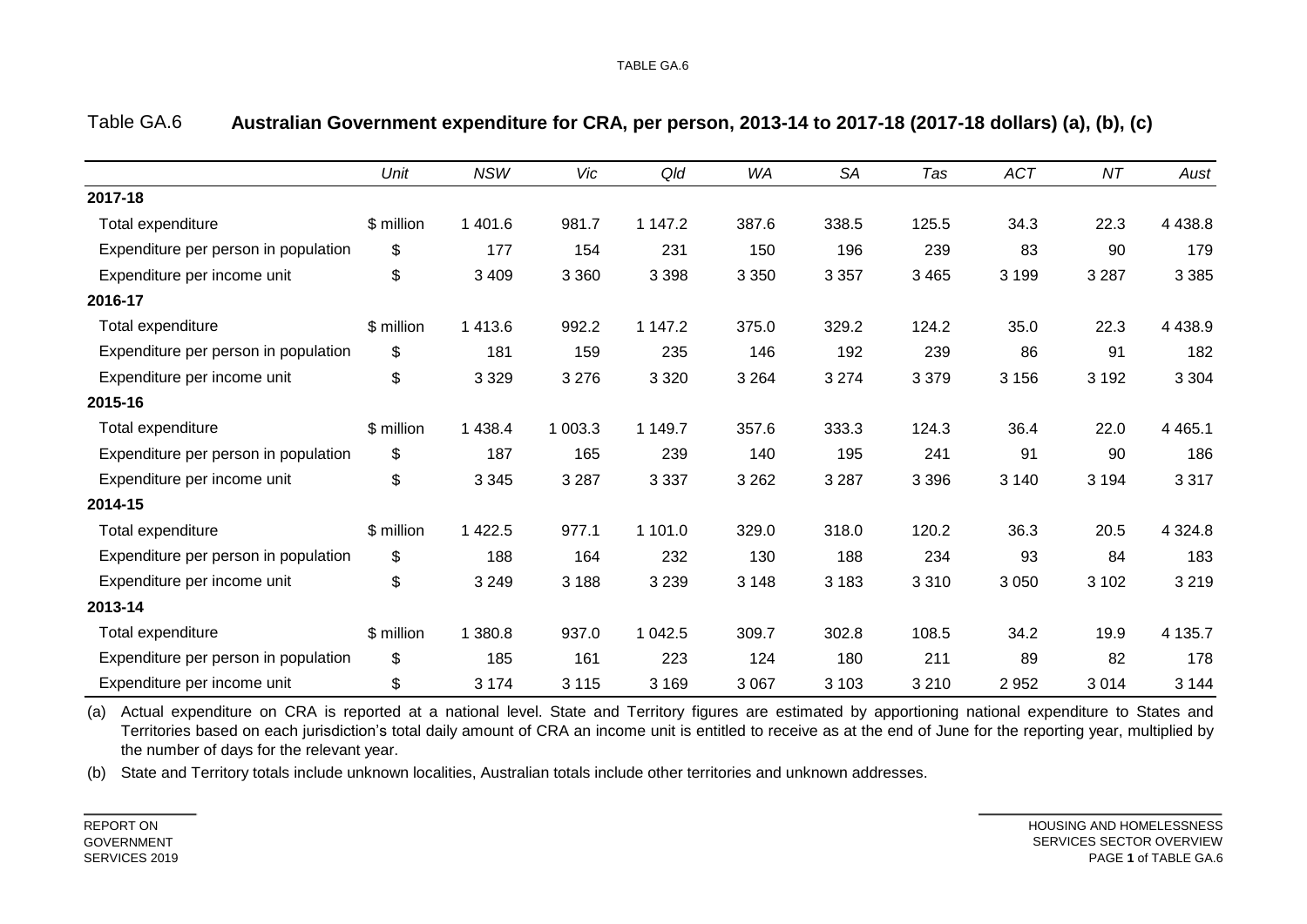|                                      | Unit       | <b>NSW</b> | Vic     | Qld     | <b>WA</b> | <b>SA</b> | Tas     | <b>ACT</b> | NT      | Aust       |
|--------------------------------------|------------|------------|---------|---------|-----------|-----------|---------|------------|---------|------------|
| 2017-18                              |            |            |         |         |           |           |         |            |         |            |
| Total expenditure                    | \$ million | 1 4 0 1 .6 | 981.7   | 1 147.2 | 387.6     | 338.5     | 125.5   | 34.3       | 22.3    | 4 4 38.8   |
| Expenditure per person in population | \$         | 177        | 154     | 231     | 150       | 196       | 239     | 83         | 90      | 179        |
| Expenditure per income unit          | \$         | 3 4 0 9    | 3 3 6 0 | 3 3 9 8 | 3 3 5 0   | 3 3 5 7   | 3 4 6 5 | 3 1 9 9    | 3 2 8 7 | 3 3 8 5    |
| 2016-17                              |            |            |         |         |           |           |         |            |         |            |
| Total expenditure                    | \$ million | 1 4 1 3.6  | 992.2   | 1 147.2 | 375.0     | 329.2     | 124.2   | 35.0       | 22.3    | 4 4 38.9   |
| Expenditure per person in population | \$         | 181        | 159     | 235     | 146       | 192       | 239     | 86         | 91      | 182        |
| Expenditure per income unit          | \$         | 3 3 2 9    | 3 2 7 6 | 3 3 2 0 | 3 2 6 4   | 3 2 7 4   | 3 3 7 9 | 3 1 5 6    | 3 1 9 2 | 3 3 0 4    |
| 2015-16                              |            |            |         |         |           |           |         |            |         |            |
| Total expenditure                    | \$ million | 1 4 3 8.4  | 1 003.3 | 1 149.7 | 357.6     | 333.3     | 124.3   | 36.4       | 22.0    | 4 4 6 5.1  |
| Expenditure per person in population | \$         | 187        | 165     | 239     | 140       | 195       | 241     | 91         | 90      | 186        |
| Expenditure per income unit          | \$         | 3 3 4 5    | 3 2 8 7 | 3 3 3 7 | 3 2 6 2   | 3 2 8 7   | 3 3 9 6 | 3 1 4 0    | 3 1 9 4 | 3 3 1 7    |
| 2014-15                              |            |            |         |         |           |           |         |            |         |            |
| Total expenditure                    | \$ million | 1 4 2 2.5  | 977.1   | 1 101.0 | 329.0     | 318.0     | 120.2   | 36.3       | 20.5    | 4 3 2 4 .8 |
| Expenditure per person in population | \$         | 188        | 164     | 232     | 130       | 188       | 234     | 93         | 84      | 183        |
| Expenditure per income unit          | \$         | 3 2 4 9    | 3 1 8 8 | 3 2 3 9 | 3 1 4 8   | 3 1 8 3   | 3 3 1 0 | 3 0 5 0    | 3 1 0 2 | 3 2 1 9    |
| 2013-14                              |            |            |         |         |           |           |         |            |         |            |
| Total expenditure                    | \$ million | 1 380.8    | 937.0   | 1 042.5 | 309.7     | 302.8     | 108.5   | 34.2       | 19.9    | 4 135.7    |
| Expenditure per person in population | \$         | 185        | 161     | 223     | 124       | 180       | 211     | 89         | 82      | 178        |
| Expenditure per income unit          | \$         | 3 1 7 4    | 3 1 1 5 | 3 1 6 9 | 3 0 6 7   | 3 1 0 3   | 3 2 1 0 | 2952       | 3014    | 3 1 4 4    |

#### Table GA.6 **Australian Government expenditure for CRA, per person, 2013-14 to 2017-18 (2017-18 dollars) (a), (b), (c)**

(a) Actual expenditure on CRA is reported at a national level. State and Territory figures are estimated by apportioning national expenditure to States and Territories based on each jurisdiction's total daily amount of CRA an income unit is entitled to receive as at the end of June for the reporting year, multiplied by the number of days for the relevant year.

(b) State and Territory totals include unknown localities, Australian totals include other territories and unknown addresses.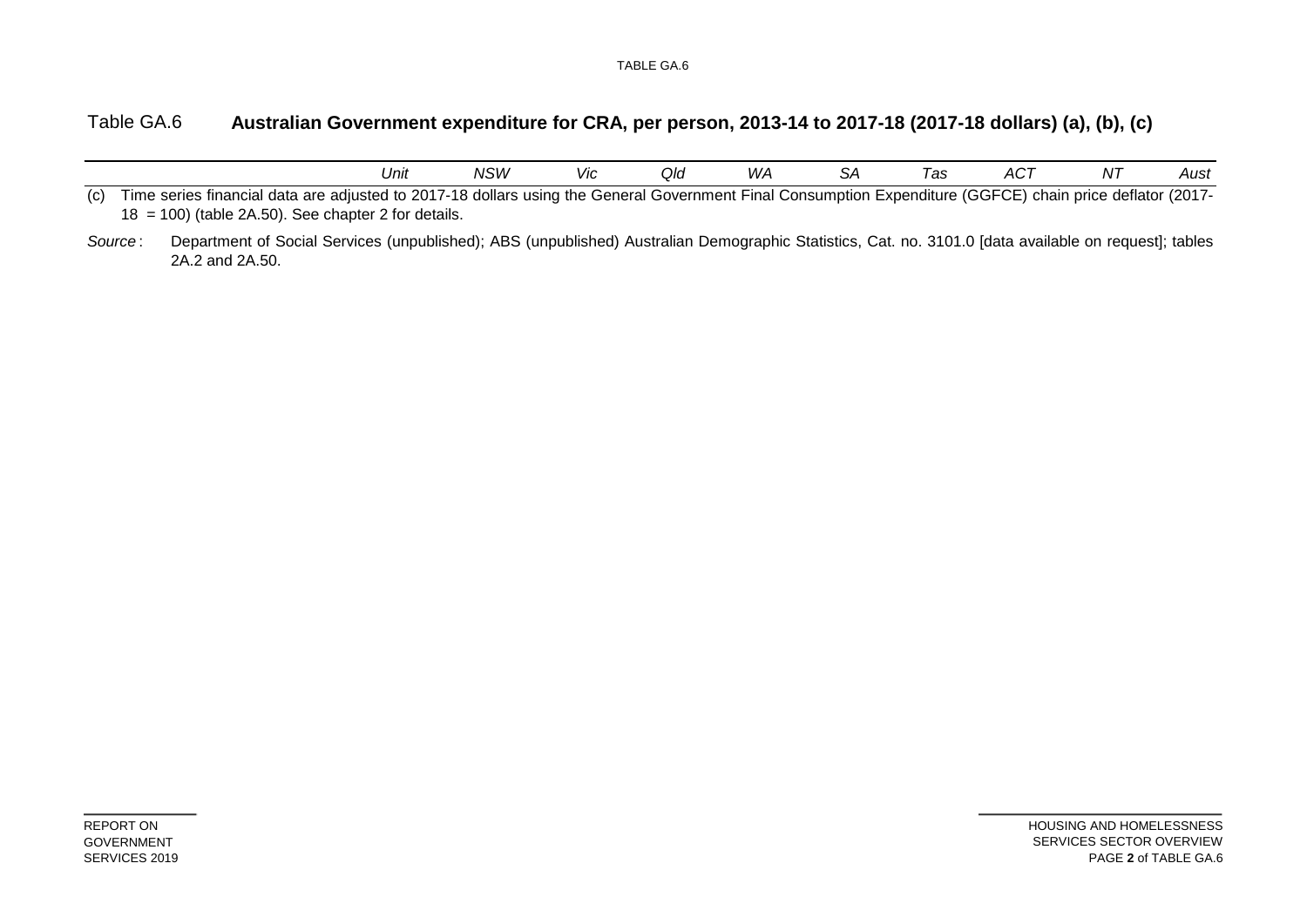#### Table GA.6 **Australian Government expenditure for CRA, per person, 2013-14 to 2017-18 (2017-18 dollars) (a), (b), (c)**

|     |                                                                                                                                                                                                                     | Unit | NSW | Vic | Qld | WА | SА | Tas | ACT | ΝT | Aust |
|-----|---------------------------------------------------------------------------------------------------------------------------------------------------------------------------------------------------------------------|------|-----|-----|-----|----|----|-----|-----|----|------|
| (C) | Time series financial data are adjusted to 2017-18 dollars using the General Government Final Consumption Expenditure (GGFCE) chain price deflator (2017-<br>$18 = 100$ ) (table 2A.50). See chapter 2 for details. |      |     |     |     |    |    |     |     |    |      |
|     | Department of Social Services (unpublished); ABS (unpublished) Australian Demographic Statistics, Cat. no. 3101.0 [data available on request]; tables<br>Source:<br>2A.2 and 2A.50.                                 |      |     |     |     |    |    |     |     |    |      |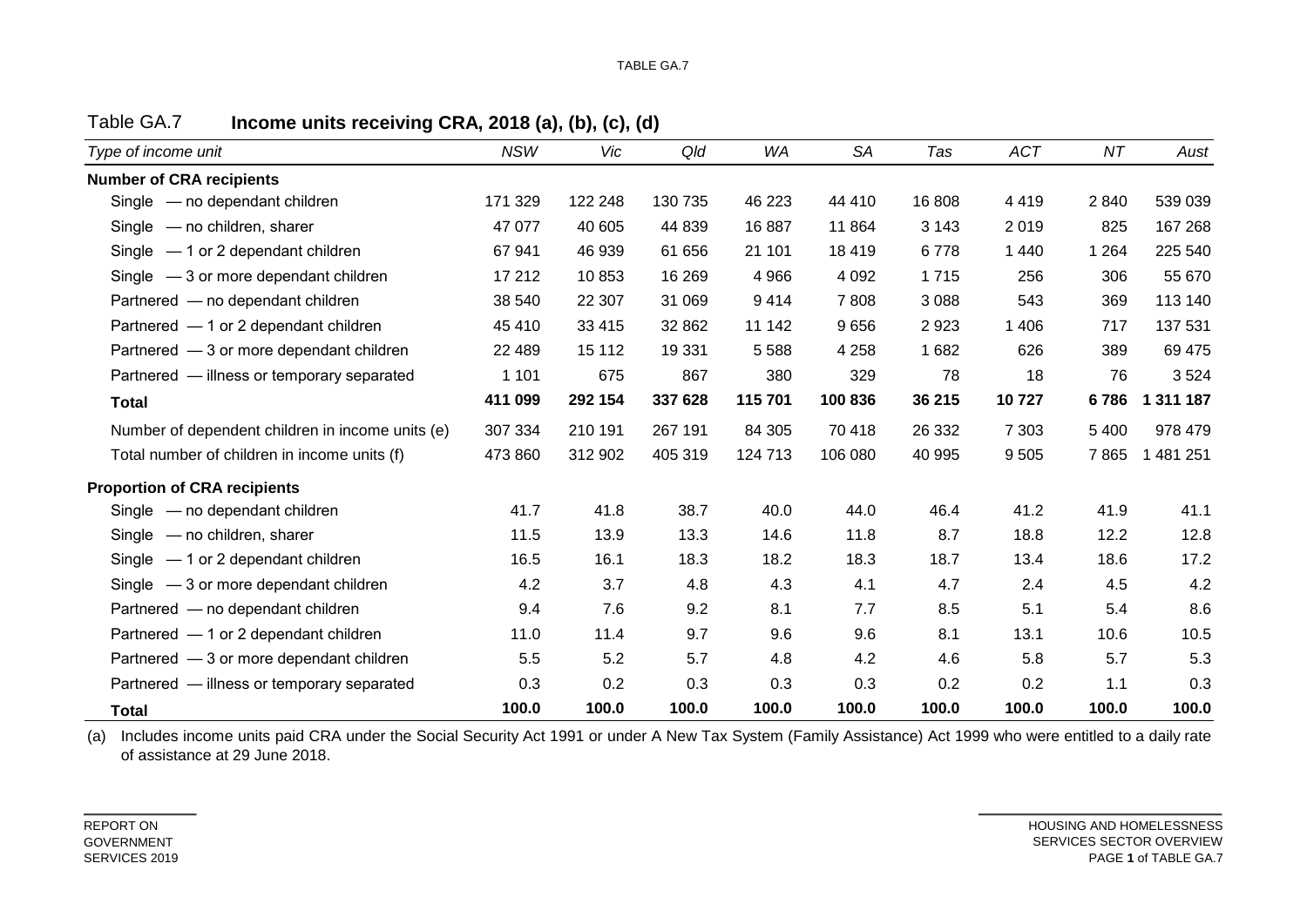| Type of income unit                              | <b>NSW</b> | Vic     | Qld     | WA      | <b>SA</b> | Tas     | <b>ACT</b> | ΝT      | Aust      |
|--------------------------------------------------|------------|---------|---------|---------|-----------|---------|------------|---------|-----------|
| <b>Number of CRA recipients</b>                  |            |         |         |         |           |         |            |         |           |
| Single - no dependant children                   | 171 329    | 122 248 | 130 735 | 46 223  | 44 410    | 16 808  | 4419       | 2840    | 539 039   |
| Single - no children, sharer                     | 47 077     | 40 605  | 44 839  | 16 887  | 11 864    | 3 1 4 3 | 2019       | 825     | 167 268   |
| Single $-1$ or 2 dependant children              | 67 941     | 46 939  | 61 656  | 21 101  | 18 4 19   | 6778    | 1 4 4 0    | 1 2 6 4 | 225 540   |
| Single $-3$ or more dependant children           | 17 212     | 10853   | 16 269  | 4 9 6 6 | 4 0 9 2   | 1715    | 256        | 306     | 55 670    |
| Partnered - no dependant children                | 38 540     | 22 307  | 31 069  | 9414    | 7808      | 3 0 8 8 | 543        | 369     | 113 140   |
| Partnered - 1 or 2 dependant children            | 45 410     | 33 4 15 | 32 862  | 11 142  | 9656      | 2923    | 1 4 0 6    | 717     | 137 531   |
| Partnered - 3 or more dependant children         | 22 4 8 9   | 15 112  | 19 3 31 | 5588    | 4 2 5 8   | 1682    | 626        | 389     | 69 475    |
| Partnered - illness or temporary separated       | 1 1 0 1    | 675     | 867     | 380     | 329       | 78      | 18         | 76      | 3524      |
| <b>Total</b>                                     | 411 099    | 292 154 | 337 628 | 115 701 | 100 836   | 36 215  | 10727      | 6786    | 1 311 187 |
| Number of dependent children in income units (e) | 307 334    | 210 191 | 267 191 | 84 30 5 | 70 418    | 26 332  | 7 3 0 3    | 5 4 0 0 | 978 479   |
| Total number of children in income units (f)     | 473 860    | 312 902 | 405 319 | 124 713 | 106 080   | 40 995  | 9505       | 7865    | 1 481 251 |
| <b>Proportion of CRA recipients</b>              |            |         |         |         |           |         |            |         |           |
| Single - no dependant children                   | 41.7       | 41.8    | 38.7    | 40.0    | 44.0      | 46.4    | 41.2       | 41.9    | 41.1      |
| Single - no children, sharer                     | 11.5       | 13.9    | 13.3    | 14.6    | 11.8      | 8.7     | 18.8       | 12.2    | 12.8      |
| Single $-1$ or 2 dependant children              | 16.5       | 16.1    | 18.3    | 18.2    | 18.3      | 18.7    | 13.4       | 18.6    | 17.2      |
| Single $-3$ or more dependant children           | 4.2        | 3.7     | 4.8     | 4.3     | 4.1       | 4.7     | 2.4        | 4.5     | 4.2       |
| Partnered - no dependant children                | 9.4        | 7.6     | 9.2     | 8.1     | 7.7       | 8.5     | 5.1        | 5.4     | 8.6       |
| Partnered - 1 or 2 dependant children            | 11.0       | 11.4    | 9.7     | 9.6     | 9.6       | 8.1     | 13.1       | 10.6    | 10.5      |
| Partnered - 3 or more dependant children         | 5.5        | 5.2     | 5.7     | 4.8     | 4.2       | 4.6     | 5.8        | 5.7     | 5.3       |
| Partnered - illness or temporary separated       | 0.3        | 0.2     | 0.3     | 0.3     | 0.3       | 0.2     | 0.2        | 1.1     | 0.3       |
| <b>Total</b>                                     | 100.0      | 100.0   | 100.0   | 100.0   | 100.0     | 100.0   | 100.0      | 100.0   | 100.0     |

Table GA.7 **Income units receiving CRA, 2018 (a), (b), (c), (d)**

(a) Includes income units paid CRA under the Social Security Act 1991 or under A New Tax System (Family Assistance) Act 1999 who were entitled to a daily rate of assistance at 29 June 2018.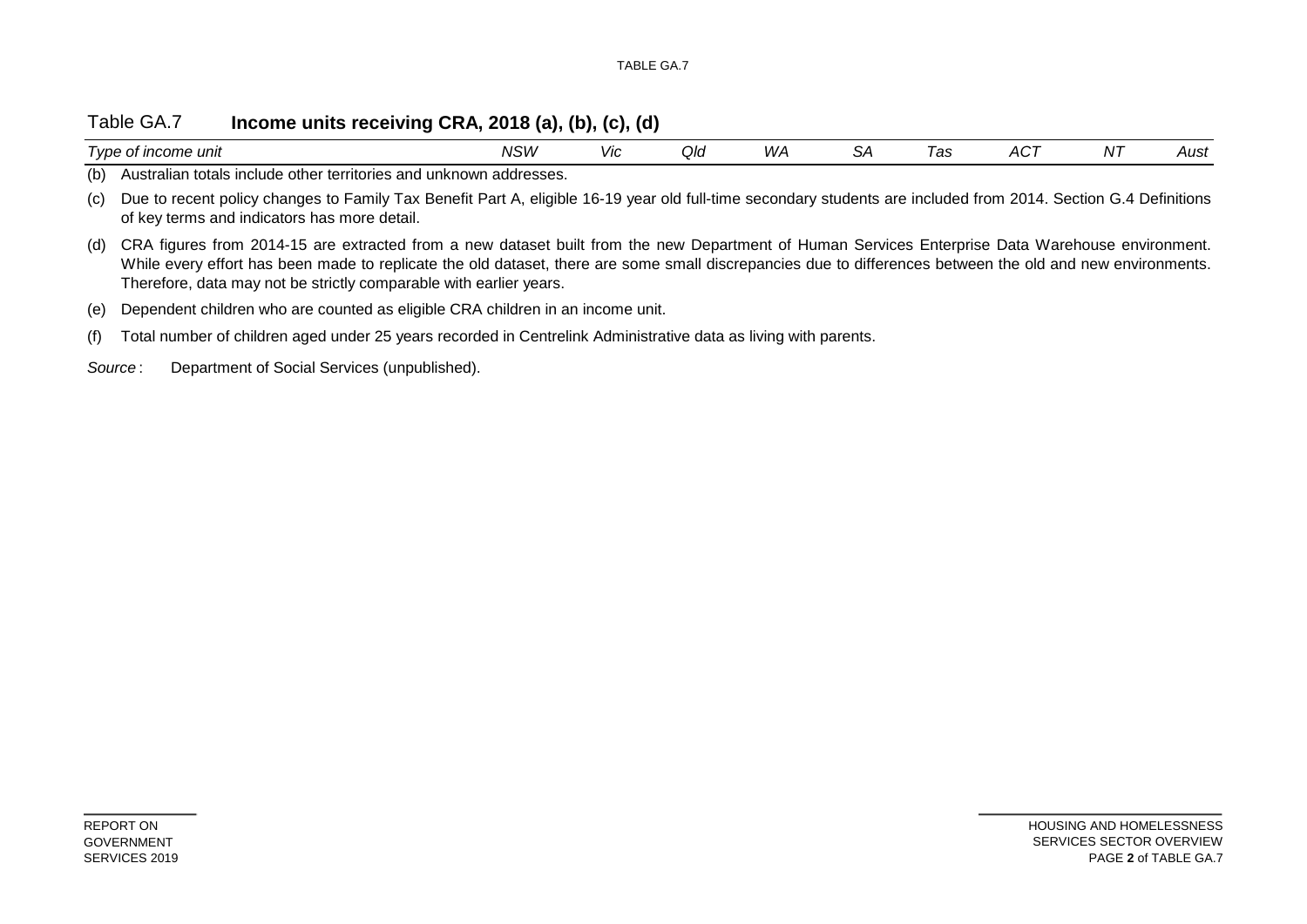### Table GA.7 **Income units receiving CRA, 2018 (a), (b), (c), (d)**

| --<br><i>vpe</i><br>e of income unit                                           | vsw | <b>VIC</b> | Qla | W | مں | -<br>'as | AC <sup>7</sup> | NT | Aust |
|--------------------------------------------------------------------------------|-----|------------|-----|---|----|----------|-----------------|----|------|
| (b)<br>alian totals include other territories and unknown addresses.<br>Austra |     |            |     |   |    |          |                 |    |      |
| .<br>$\sim$ $\sim$<br>$\sim$                                                   |     |            | .   |   |    | .        | .               | .  |      |

(c) Due to recent policy changes to Family Tax Benefit Part A, eligible 16-19 year old full-time secondary students are included from 2014. Section G.4 Definitions of key terms and indicators has more detail.

(d) CRA figures from 2014-15 are extracted from a new dataset built from the new Department of Human Services Enterprise Data Warehouse environment. While every effort has been made to replicate the old dataset, there are some small discrepancies due to differences between the old and new environments. Therefore, data may not be strictly comparable with earlier years.

(f) Total number of children aged under 25 years recorded in Centrelink Administrative data as living with parents.

<sup>(</sup>e) Dependent children who are counted as eligible CRA children in an income unit.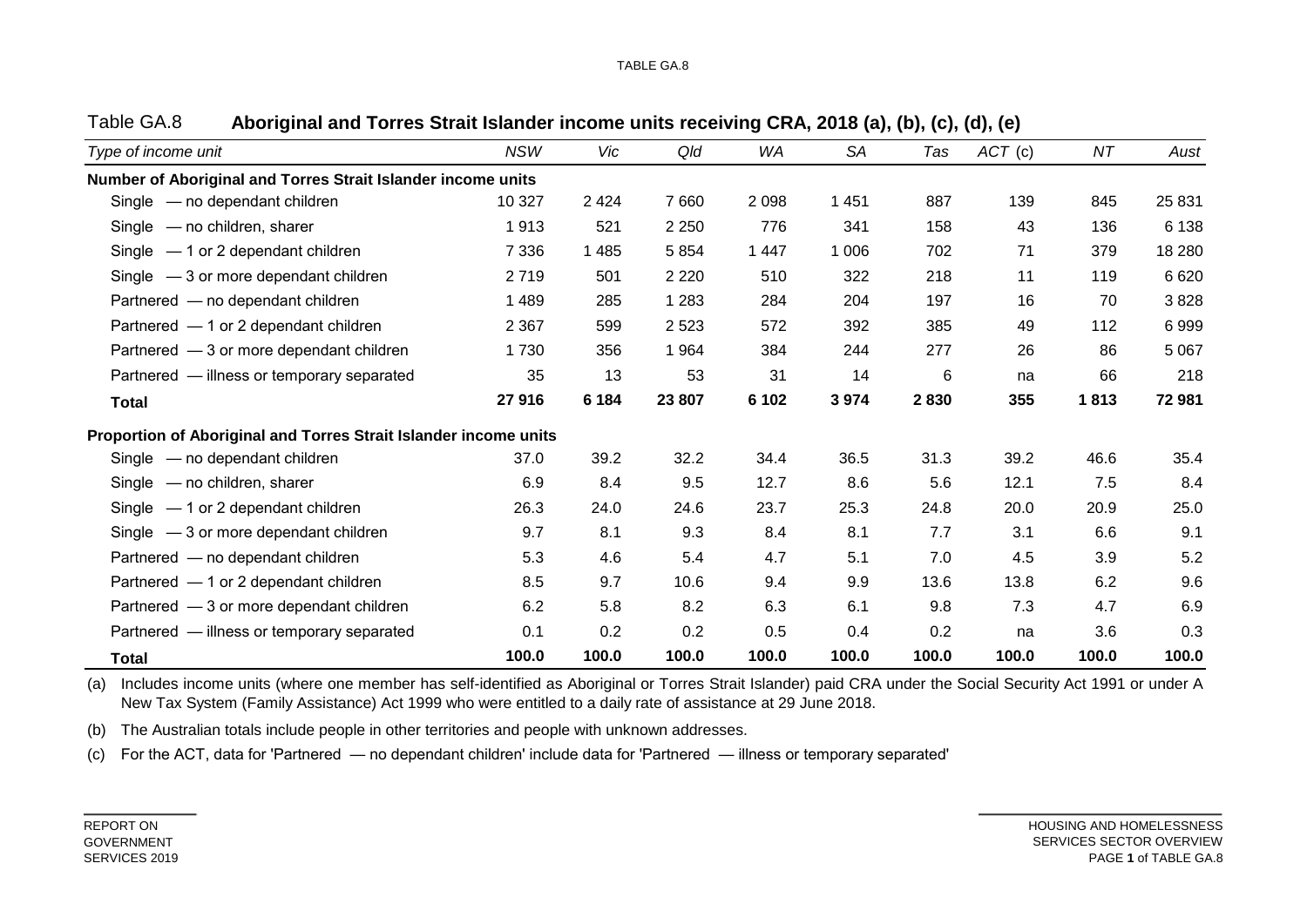| Type of income unit                                              | <b>NSW</b> | Vic     | Qld     | WA      | <b>SA</b> | Tas   | ACT (c) | ΝT    | Aust    |
|------------------------------------------------------------------|------------|---------|---------|---------|-----------|-------|---------|-------|---------|
| Number of Aboriginal and Torres Strait Islander income units     |            |         |         |         |           |       |         |       |         |
| Single - no dependant children                                   | 10 327     | 2 4 2 4 | 7 6 6 0 | 2 0 9 8 | 1 4 5 1   | 887   | 139     | 845   | 25 831  |
| Single - no children, sharer                                     | 1913       | 521     | 2 2 5 0 | 776     | 341       | 158   | 43      | 136   | 6 1 3 8 |
| Single $-1$ or 2 dependant children                              | 7 3 3 6    | 1 4 8 5 | 5 8 5 4 | 1 4 4 7 | 1 0 0 6   | 702   | 71      | 379   | 18 280  |
| Single $-3$ or more dependant children                           | 2719       | 501     | 2 2 2 0 | 510     | 322       | 218   | 11      | 119   | 6 6 20  |
| Partnered - no dependant children                                | 1 4 8 9    | 285     | 1 2 8 3 | 284     | 204       | 197   | 16      | 70    | 3828    |
| Partnered - 1 or 2 dependant children                            | 2 3 6 7    | 599     | 2 5 2 3 | 572     | 392       | 385   | 49      | 112   | 6999    |
| Partnered - 3 or more dependant children                         | 1 7 3 0    | 356     | 1 9 6 4 | 384     | 244       | 277   | 26      | 86    | 5 0 6 7 |
| Partnered - illness or temporary separated                       | 35         | 13      | 53      | 31      | 14        | 6     | na      | 66    | 218     |
| <b>Total</b>                                                     | 27916      | 6 1 8 4 | 23 807  | 6 1 0 2 | 3 9 7 4   | 2830  | 355     | 1813  | 72 981  |
| Proportion of Aboriginal and Torres Strait Islander income units |            |         |         |         |           |       |         |       |         |
| Single - no dependant children                                   | 37.0       | 39.2    | 32.2    | 34.4    | 36.5      | 31.3  | 39.2    | 46.6  | 35.4    |
| Single - no children, sharer                                     | 6.9        | 8.4     | 9.5     | 12.7    | 8.6       | 5.6   | 12.1    | 7.5   | 8.4     |
| Single $-1$ or 2 dependant children                              | 26.3       | 24.0    | 24.6    | 23.7    | 25.3      | 24.8  | 20.0    | 20.9  | 25.0    |
| Single $-3$ or more dependant children                           | 9.7        | 8.1     | 9.3     | 8.4     | 8.1       | 7.7   | 3.1     | 6.6   | 9.1     |
| Partnered - no dependant children                                | 5.3        | 4.6     | 5.4     | 4.7     | 5.1       | 7.0   | 4.5     | 3.9   | 5.2     |
| Partnered - 1 or 2 dependant children                            | 8.5        | 9.7     | 10.6    | 9.4     | 9.9       | 13.6  | 13.8    | 6.2   | 9.6     |
| Partnered - 3 or more dependant children                         | 6.2        | 5.8     | 8.2     | 6.3     | 6.1       | 9.8   | 7.3     | 4.7   | 6.9     |
| Partnered - illness or temporary separated                       | 0.1        | 0.2     | 0.2     | 0.5     | 0.4       | 0.2   | na      | 3.6   | 0.3     |
| <b>Total</b>                                                     | 100.0      | 100.0   | 100.0   | 100.0   | 100.0     | 100.0 | 100.0   | 100.0 | 100.0   |

### Table GA.8 **Aboriginal and Torres Strait Islander income units receiving CRA, 2018 (a), (b), (c), (d), (e)**

(a) Includes income units (where one member has self-identified as Aboriginal or Torres Strait Islander) paid CRA under the Social Security Act 1991 or under A New Tax System (Family Assistance) Act 1999 who were entitled to a daily rate of assistance at 29 June 2018.

(b) The Australian totals include people in other territories and people with unknown addresses.

(c) For the ACT, data for 'Partnered — no dependant children' include data for 'Partnered — illness or temporary separated'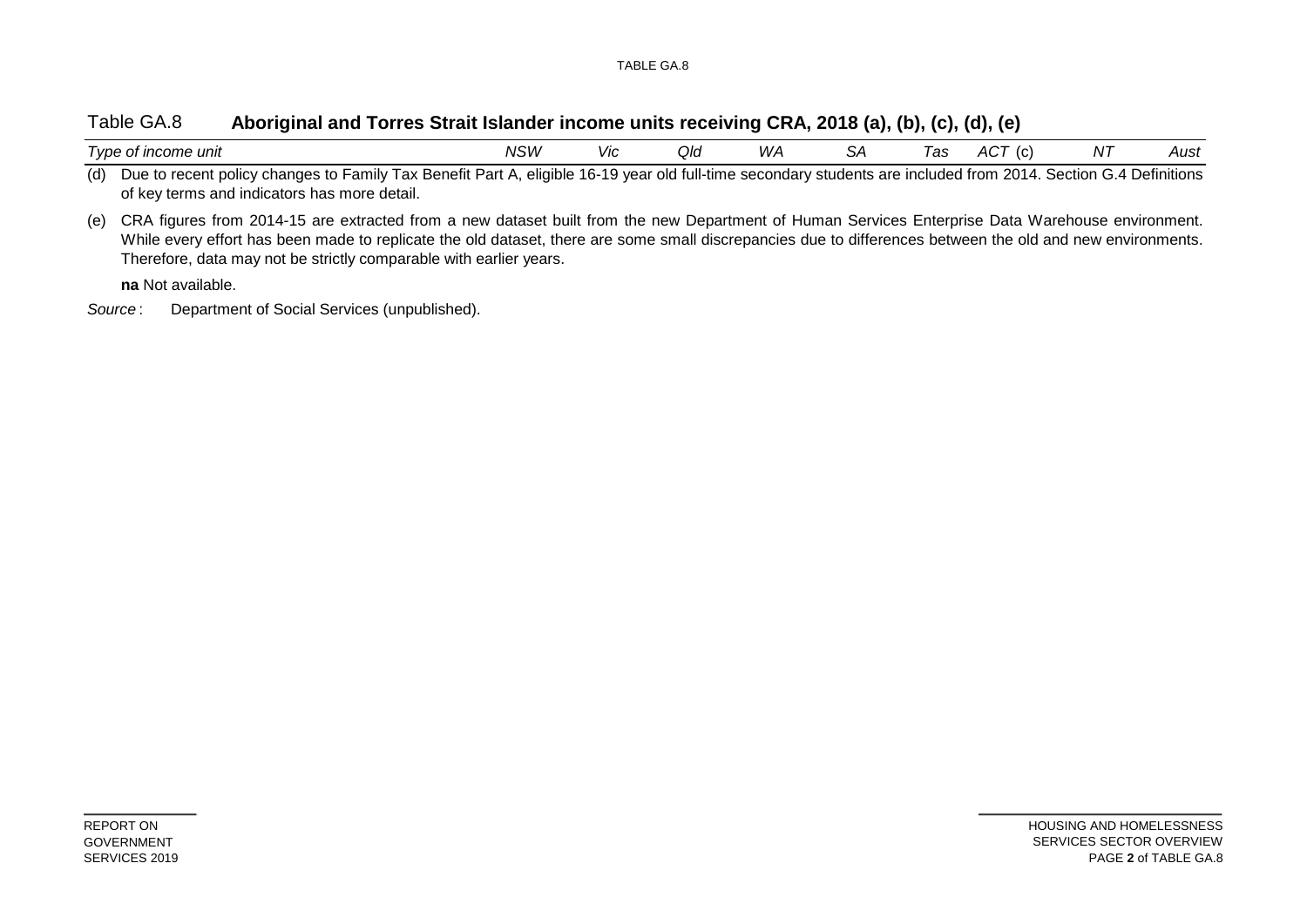### Table GA.8 **Aboriginal and Torres Strait Islander income units receiving CRA, 2018 (a), (b), (c), (d), (e)**

| Type of income unit                                                                                                                                                 | NSW | Vic | QIc | WA | las | $AC^{\mathcal{T}}$ | N7 | Aust |
|---------------------------------------------------------------------------------------------------------------------------------------------------------------------|-----|-----|-----|----|-----|--------------------|----|------|
| (d) Due to recent policy changes to Family Tax Benefit Part A, eligible 16-19 year old full-time secondary students are included from 2014. Section G.4 Definitions |     |     |     |    |     |                    |    |      |

of key terms and indicators has more detail.

(e) CRA figures from 2014-15 are extracted from a new dataset built from the new Department of Human Services Enterprise Data Warehouse environment. While every effort has been made to replicate the old dataset, there are some small discrepancies due to differences between the old and new environments. Therefore, data may not be strictly comparable with earlier years.

**na** Not available.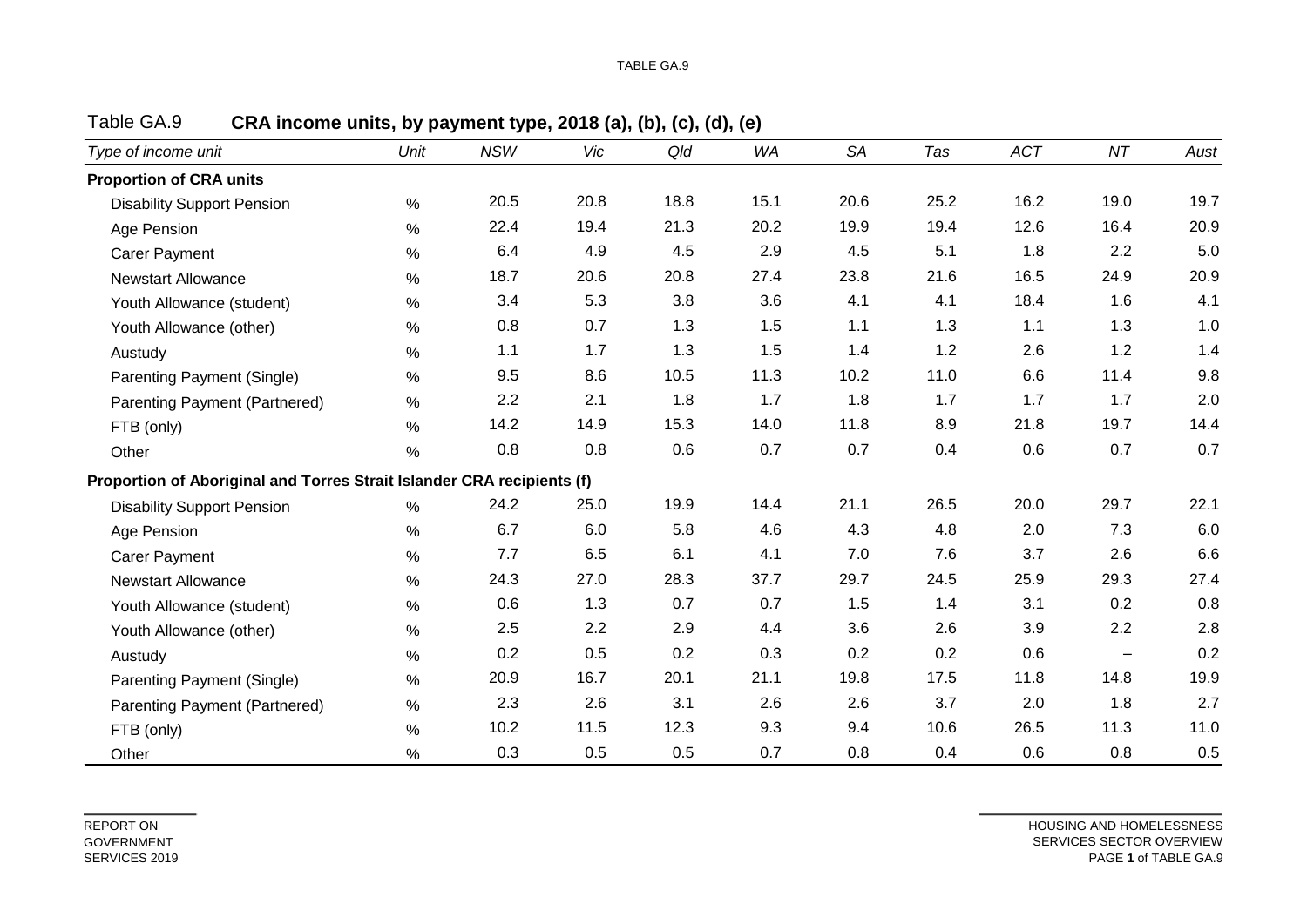| Type of income unit                                                    | Unit          | <b>NSW</b> | Vic  | Qld  | WA   | <b>SA</b> | Tas  | <b>ACT</b> | NT       | Aust    |
|------------------------------------------------------------------------|---------------|------------|------|------|------|-----------|------|------------|----------|---------|
| <b>Proportion of CRA units</b>                                         |               |            |      |      |      |           |      |            |          |         |
| <b>Disability Support Pension</b>                                      | $\%$          | 20.5       | 20.8 | 18.8 | 15.1 | 20.6      | 25.2 | 16.2       | 19.0     | 19.7    |
| Age Pension                                                            | $\%$          | 22.4       | 19.4 | 21.3 | 20.2 | 19.9      | 19.4 | 12.6       | 16.4     | 20.9    |
| <b>Carer Payment</b>                                                   | $\%$          | 6.4        | 4.9  | 4.5  | 2.9  | 4.5       | 5.1  | 1.8        | 2.2      | 5.0     |
| <b>Newstart Allowance</b>                                              | $\%$          | 18.7       | 20.6 | 20.8 | 27.4 | 23.8      | 21.6 | 16.5       | 24.9     | 20.9    |
| Youth Allowance (student)                                              | $\%$          | 3.4        | 5.3  | 3.8  | 3.6  | 4.1       | 4.1  | 18.4       | 1.6      | 4.1     |
| Youth Allowance (other)                                                | $\%$          | 0.8        | 0.7  | 1.3  | 1.5  | 1.1       | 1.3  | 1.1        | 1.3      | 1.0     |
| Austudy                                                                | $\%$          | 1.1        | 1.7  | 1.3  | 1.5  | 1.4       | 1.2  | 2.6        | 1.2      | 1.4     |
| Parenting Payment (Single)                                             | $\%$          | 9.5        | 8.6  | 10.5 | 11.3 | 10.2      | 11.0 | 6.6        | 11.4     | 9.8     |
| Parenting Payment (Partnered)                                          | $\%$          | 2.2        | 2.1  | 1.8  | 1.7  | 1.8       | 1.7  | 1.7        | 1.7      | 2.0     |
| FTB (only)                                                             | $\%$          | 14.2       | 14.9 | 15.3 | 14.0 | 11.8      | 8.9  | 21.8       | 19.7     | 14.4    |
| Other                                                                  | $\%$          | $0.8\,$    | 0.8  | 0.6  | 0.7  | 0.7       | 0.4  | 0.6        | 0.7      | $0.7\,$ |
| Proportion of Aboriginal and Torres Strait Islander CRA recipients (f) |               |            |      |      |      |           |      |            |          |         |
| <b>Disability Support Pension</b>                                      | %             | 24.2       | 25.0 | 19.9 | 14.4 | 21.1      | 26.5 | 20.0       | 29.7     | 22.1    |
| Age Pension                                                            | $\%$          | 6.7        | 6.0  | 5.8  | 4.6  | 4.3       | 4.8  | 2.0        | 7.3      | 6.0     |
| <b>Carer Payment</b>                                                   | $\%$          | 7.7        | 6.5  | 6.1  | 4.1  | 7.0       | 7.6  | 3.7        | 2.6      | $6.6\,$ |
| <b>Newstart Allowance</b>                                              | $\%$          | 24.3       | 27.0 | 28.3 | 37.7 | 29.7      | 24.5 | 25.9       | 29.3     | 27.4    |
| Youth Allowance (student)                                              | $\%$          | 0.6        | 1.3  | 0.7  | 0.7  | 1.5       | 1.4  | 3.1        | 0.2      | $0.8\,$ |
| Youth Allowance (other)                                                | $\%$          | 2.5        | 2.2  | 2.9  | 4.4  | 3.6       | 2.6  | 3.9        | 2.2      | 2.8     |
| Austudy                                                                | $\%$          | 0.2        | 0.5  | 0.2  | 0.3  | 0.2       | 0.2  | 0.6        | $\equiv$ | 0.2     |
| Parenting Payment (Single)                                             | $\%$          | 20.9       | 16.7 | 20.1 | 21.1 | 19.8      | 17.5 | 11.8       | 14.8     | 19.9    |
| Parenting Payment (Partnered)                                          | $\%$          | 2.3        | 2.6  | 3.1  | 2.6  | 2.6       | 3.7  | 2.0        | 1.8      | 2.7     |
| FTB (only)                                                             | $\%$          | 10.2       | 11.5 | 12.3 | 9.3  | 9.4       | 10.6 | 26.5       | 11.3     | 11.0    |
| Other                                                                  | $\frac{0}{0}$ | 0.3        | 0.5  | 0.5  | 0.7  | 0.8       | 0.4  | 0.6        | 0.8      | 0.5     |

Table GA.9 **CRA income units, by payment type, 2018 (a), (b), (c), (d), (e)**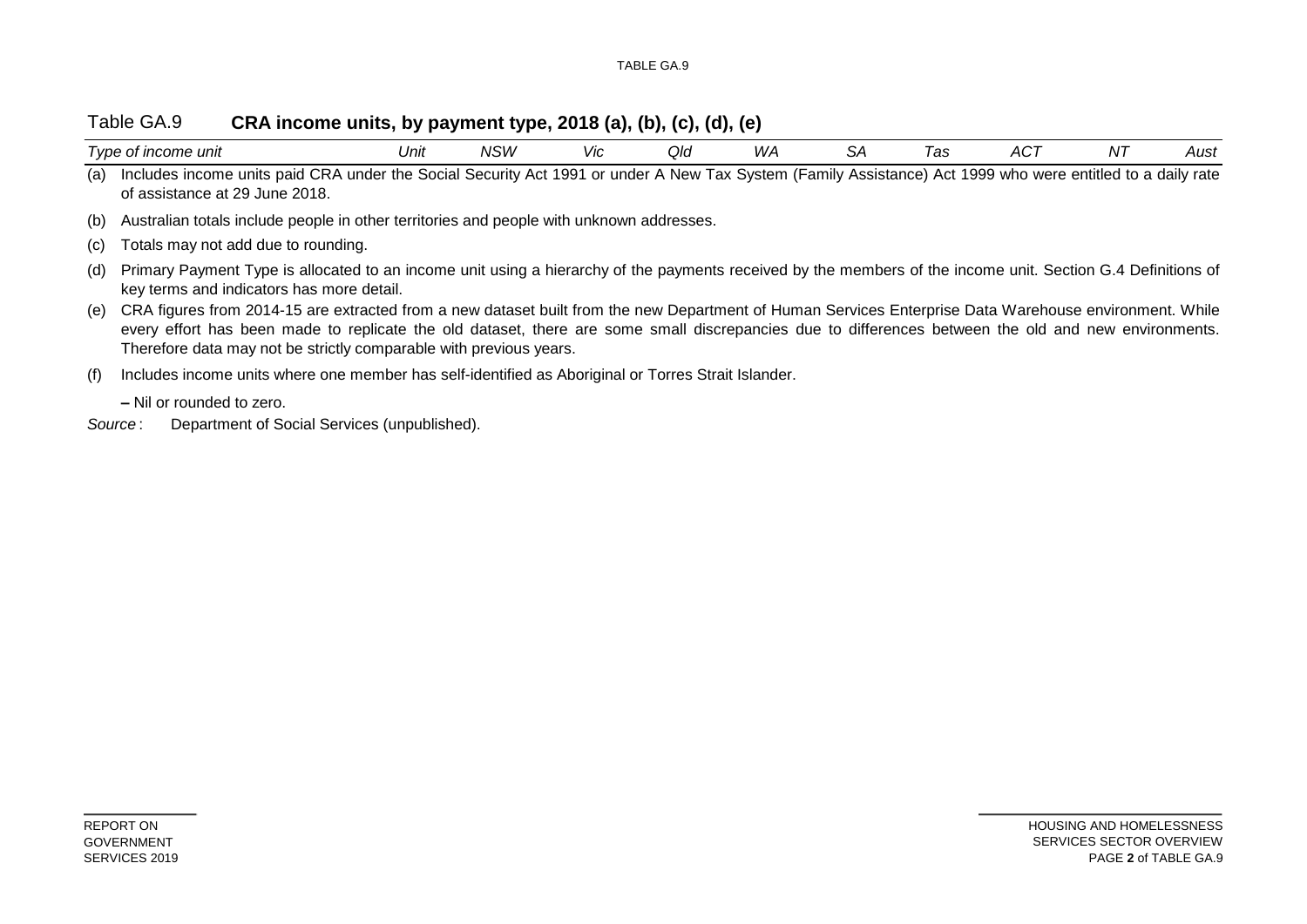#### Table GA.9 **CRA income units, by payment type, 2018 (a), (b), (c), (d), (e)**

| $\overline{\phantom{0}}$<br>† income unit<br>l vpe<br>വ<br>. . | Unit | <b>NISIM</b><br>v∪ v | <b>VIC</b> | ∩ור<br>ື້ | WA | . . | <b>~</b><br>uv | $\sim$ $\sim$ $\sim$<br>╌ | NJ. | ,,,,<br>וטר |
|----------------------------------------------------------------|------|----------------------|------------|-----------|----|-----|----------------|---------------------------|-----|-------------|
|                                                                |      |                      |            |           |    |     |                |                           |     |             |

(a) Includes income units paid CRA under the Social Security Act 1991 or under A New Tax System (Family Assistance) Act 1999 who were entitled to a daily rate of assistance at 29 June 2018.

(b) Australian totals include people in other territories and people with unknown addresses.

(c) Totals may not add due to rounding.

- (d) Primary Payment Type is allocated to an income unit using a hierarchy of the payments received by the members of the income unit. Section G.4 Definitions of key terms and indicators has more detail.
- (e) CRA figures from 2014-15 are extracted from a new dataset built from the new Department of Human Services Enterprise Data Warehouse environment. While every effort has been made to replicate the old dataset, there are some small discrepancies due to differences between the old and new environments. Therefore data may not be strictly comparable with previous years.

(f) Includes income units where one member has self-identified as Aboriginal or Torres Strait Islander.

**–** Nil or rounded to zero.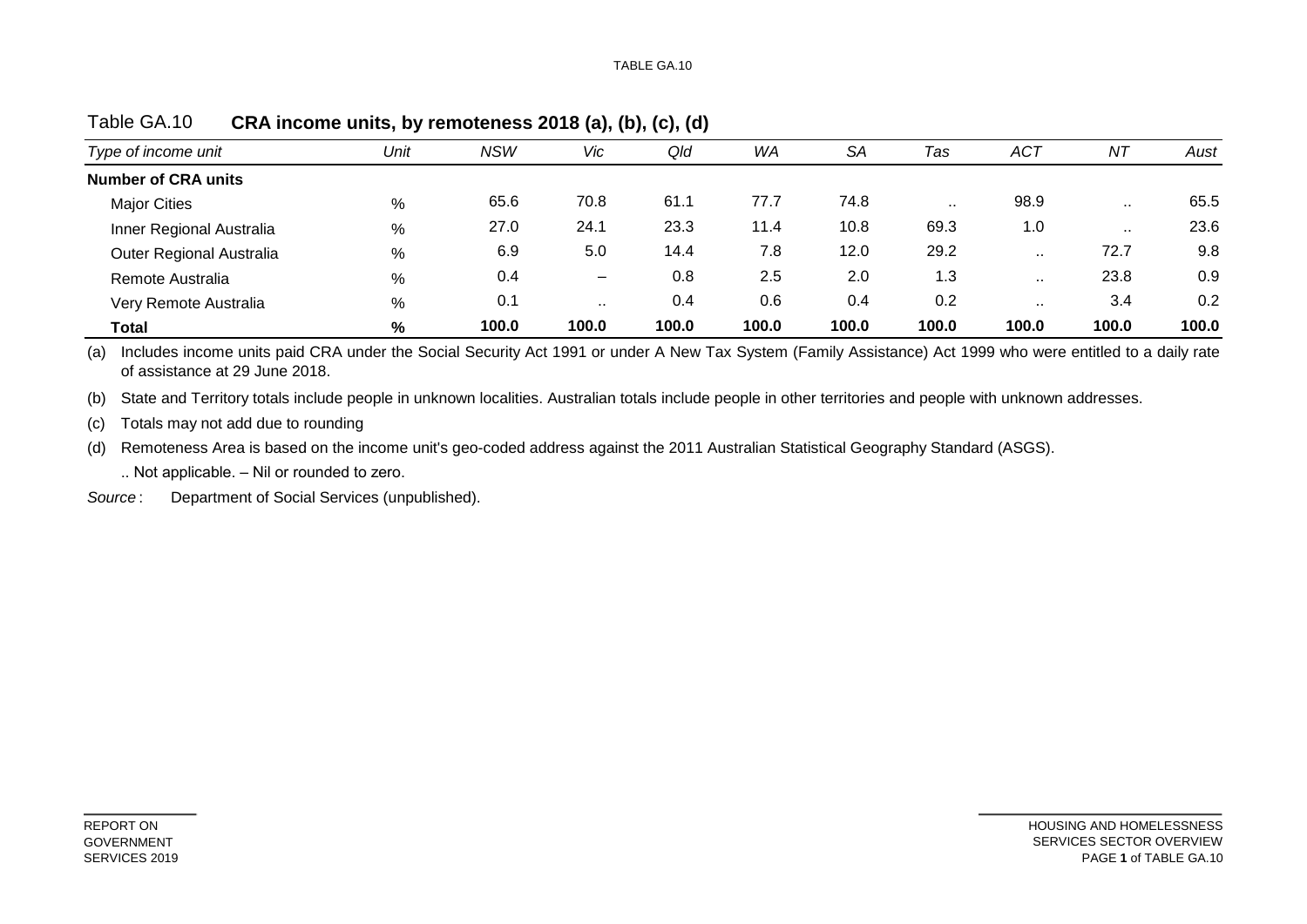| Type of income unit        | Unit | <b>NSW</b> | Vic                          | Qld   | <b>WA</b> | <b>SA</b> | Tas   | <b>ACT</b>    | NT       | Aust  |
|----------------------------|------|------------|------------------------------|-------|-----------|-----------|-------|---------------|----------|-------|
| <b>Number of CRA units</b> |      |            |                              |       |           |           |       |               |          |       |
| <b>Major Cities</b>        | %    | 65.6       | 70.8                         | 61.1  | 77.7      | 74.8      | . .   | 98.9          |          | 65.5  |
| Inner Regional Australia   | %    | 27.0       | 24.1                         | 23.3  | 11.4      | 10.8      | 69.3  | 1.0           | $\cdots$ | 23.6  |
| Outer Regional Australia   | %    | 6.9        | 5.0                          | 14.4  | 7.8       | 12.0      | 29.2  | $\mathbf{r}$  | 72.7     | 9.8   |
| Remote Australia           | %    | 0.4        | $\qquad \qquad \blacksquare$ | 0.8   | 2.5       | 2.0       | 1.3   | $\ddotsc$     | 23.8     | 0.9   |
| Very Remote Australia      | %    | 0.1        |                              | 0.4   | 0.6       | 0.4       | 0.2   | $\sim$ $\sim$ | 3.4      | 0.2   |
| <b>Total</b>               | %    | 100.0      | 100.0                        | 100.0 | 100.0     | 100.0     | 100.0 | 100.0         | 100.0    | 100.0 |

Table GA.10 **CRA income units, by remoteness 2018 (a), (b), (c), (d)**

(a) Includes income units paid CRA under the Social Security Act 1991 or under A New Tax System (Family Assistance) Act 1999 who were entitled to a daily rate of assistance at 29 June 2018.

(b) State and Territory totals include people in unknown localities. Australian totals include people in other territories and people with unknown addresses.

(c) Totals may not add due to rounding

(d) Remoteness Area is based on the income unit's geo-coded address against the 2011 Australian Statistical Geography Standard (ASGS).

.. Not applicable. – Nil or rounded to zero.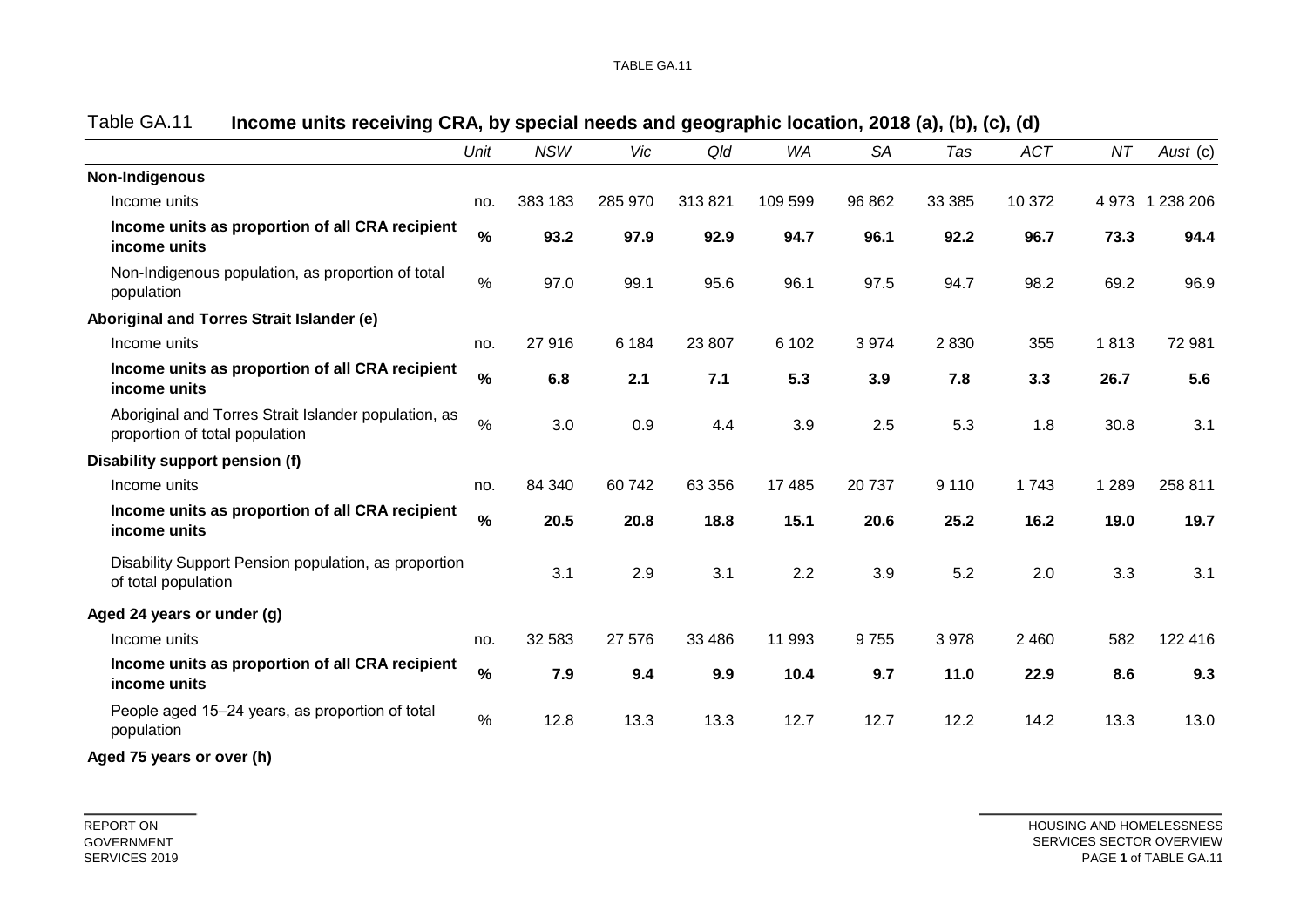| Unit | <b>NSW</b>                                                                                                                                                                                                                                                                                                               | Vic     | Qld     | <b>WA</b> | <b>SA</b> | Tas     | <b>ACT</b> | ΝT      | Aust (c)        |
|------|--------------------------------------------------------------------------------------------------------------------------------------------------------------------------------------------------------------------------------------------------------------------------------------------------------------------------|---------|---------|-----------|-----------|---------|------------|---------|-----------------|
|      |                                                                                                                                                                                                                                                                                                                          |         |         |           |           |         |            |         |                 |
| no.  | 383 183                                                                                                                                                                                                                                                                                                                  | 285 970 | 313821  | 109 599   | 96 862    | 33 385  | 10 372     |         | 4 973 1 238 206 |
| $\%$ | 93.2                                                                                                                                                                                                                                                                                                                     | 97.9    | 92.9    | 94.7      | 96.1      | 92.2    | 96.7       | 73.3    | 94.4            |
| $\%$ | 97.0                                                                                                                                                                                                                                                                                                                     | 99.1    | 95.6    | 96.1      | 97.5      | 94.7    | 98.2       | 69.2    | 96.9            |
|      |                                                                                                                                                                                                                                                                                                                          |         |         |           |           |         |            |         |                 |
| no.  | 27916                                                                                                                                                                                                                                                                                                                    | 6 1 8 4 | 23 807  | 6 1 0 2   | 3974      | 2830    | 355        | 1813    | 72 981          |
| $\%$ | 6.8                                                                                                                                                                                                                                                                                                                      | 2.1     | 7.1     | 5.3       | 3.9       | 7.8     | 3.3        | 26.7    | 5.6             |
| $\%$ | 3.0                                                                                                                                                                                                                                                                                                                      | 0.9     | 4.4     | 3.9       | 2.5       | 5.3     | 1.8        | 30.8    | 3.1             |
|      |                                                                                                                                                                                                                                                                                                                          |         |         |           |           |         |            |         |                 |
| no.  | 84 340                                                                                                                                                                                                                                                                                                                   | 60742   | 63 356  | 17 485    | 20737     | 9 1 1 0 | 1743       | 1 2 8 9 | 258 811         |
| $\%$ | 20.5                                                                                                                                                                                                                                                                                                                     | 20.8    | 18.8    | 15.1      | 20.6      | 25.2    | 16.2       | 19.0    | 19.7            |
|      | 3.1                                                                                                                                                                                                                                                                                                                      | 2.9     | 3.1     | 2.2       | 3.9       | 5.2     | 2.0        | 3.3     | 3.1             |
|      |                                                                                                                                                                                                                                                                                                                          |         |         |           |           |         |            |         |                 |
| no.  | 32 583                                                                                                                                                                                                                                                                                                                   | 27 576  | 33 4 86 | 11 993    | 9755      | 3978    | 2 4 6 0    | 582     | 122 416         |
| $\%$ | 7.9                                                                                                                                                                                                                                                                                                                      | 9.4     | 9.9     | 10.4      | 9.7       | 11.0    | 22.9       | 8.6     | 9.3             |
| $\%$ | 12.8                                                                                                                                                                                                                                                                                                                     | 13.3    | 13.3    | 12.7      | 12.7      | 12.2    | 14.2       | 13.3    | 13.0            |
|      | Income units as proportion of all CRA recipient<br>Income units as proportion of all CRA recipient<br>Aboriginal and Torres Strait Islander population, as<br>Income units as proportion of all CRA recipient<br>Disability Support Pension population, as proportion<br>Income units as proportion of all CRA recipient |         |         |           |           |         |            |         |                 |

| Table GA.11 |  |  |  | Income units receiving CRA, by special needs and geographic location, 2018 (a), (b), (c), (d) |
|-------------|--|--|--|-----------------------------------------------------------------------------------------------|
|-------------|--|--|--|-----------------------------------------------------------------------------------------------|

**Aged 75 years or over (h)**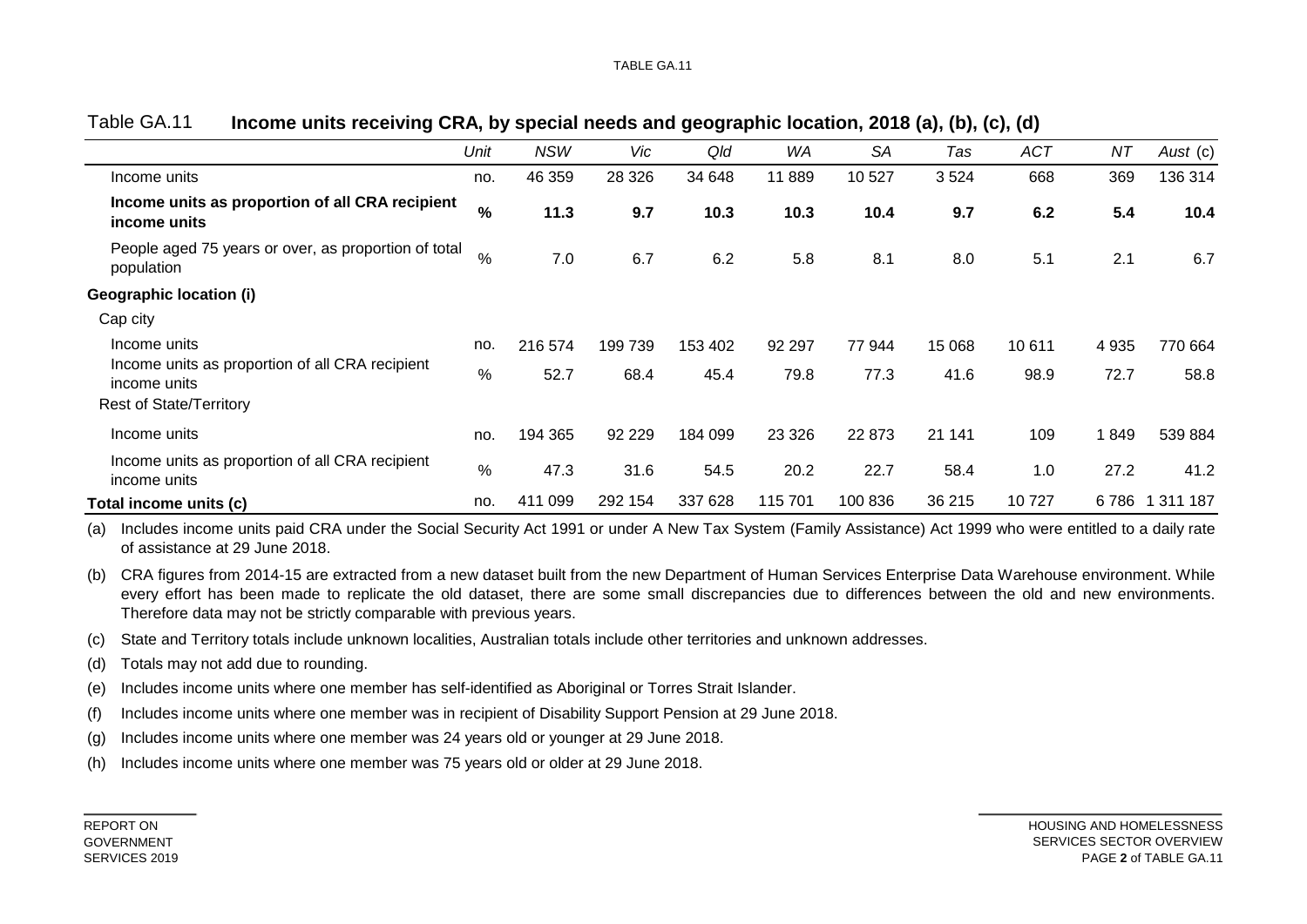|                                                                    | Unit | <b>NSW</b> | Vic      | Qld     | WA      | <b>SA</b> | Tas    | <b>ACT</b> | NT      | Aust (c)  |
|--------------------------------------------------------------------|------|------------|----------|---------|---------|-----------|--------|------------|---------|-----------|
| Income units                                                       | no.  | 46 359     | 28 3 26  | 34 648  | 11 889  | 10 527    | 3524   | 668        | 369     | 136 314   |
| Income units as proportion of all CRA recipient<br>income units    | %    | 11.3       | 9.7      | 10.3    | 10.3    | 10.4      | 9.7    | 6.2        | 5.4     | 10.4      |
| People aged 75 years or over, as proportion of total<br>population | $\%$ | 7.0        | 6.7      | 6.2     | 5.8     | 8.1       | 8.0    | 5.1        | 2.1     | 6.7       |
| <b>Geographic location (i)</b>                                     |      |            |          |         |         |           |        |            |         |           |
| Cap city                                                           |      |            |          |         |         |           |        |            |         |           |
| Income units                                                       | no.  | 216 574    | 199739   | 153 402 | 92 297  | 77 944    | 15 068 | 10 611     | 4 9 3 5 | 770 664   |
| Income units as proportion of all CRA recipient<br>income units    | $\%$ | 52.7       | 68.4     | 45.4    | 79.8    | 77.3      | 41.6   | 98.9       | 72.7    | 58.8      |
| <b>Rest of State/Territory</b>                                     |      |            |          |         |         |           |        |            |         |           |
| Income units                                                       | no.  | 194 365    | 92 2 2 9 | 184 099 | 23 3 26 | 22 873    | 21 141 | 109        | 1849    | 539 884   |
| Income units as proportion of all CRA recipient<br>income units    | %    | 47.3       | 31.6     | 54.5    | 20.2    | 22.7      | 58.4   | 1.0        | 27.2    | 41.2      |
| Total income units (c)                                             | no.  | 411 099    | 292 154  | 337 628 | 115 701 | 100 836   | 36 215 | 10727      | 6 786   | 1 311 187 |

### Table GA.11 **Income units receiving CRA, by special needs and geographic location, 2018 (a), (b), (c), (d)**

(a) Includes income units paid CRA under the Social Security Act 1991 or under A New Tax System (Family Assistance) Act 1999 who were entitled to a daily rate of assistance at 29 June 2018.

(b) CRA figures from 2014-15 are extracted from a new dataset built from the new Department of Human Services Enterprise Data Warehouse environment. While every effort has been made to replicate the old dataset, there are some small discrepancies due to differences between the old and new environments. Therefore data may not be strictly comparable with previous years.

- (c) State and Territory totals include unknown localities, Australian totals include other territories and unknown addresses.
- (d) Totals may not add due to rounding.
- (e) Includes income units where one member has self-identified as Aboriginal or Torres Strait Islander.
- (f) Includes income units where one member was in recipient of Disability Support Pension at 29 June 2018.
- (g) Includes income units where one member was 24 years old or younger at 29 June 2018.
- (h) Includes income units where one member was 75 years old or older at 29 June 2018.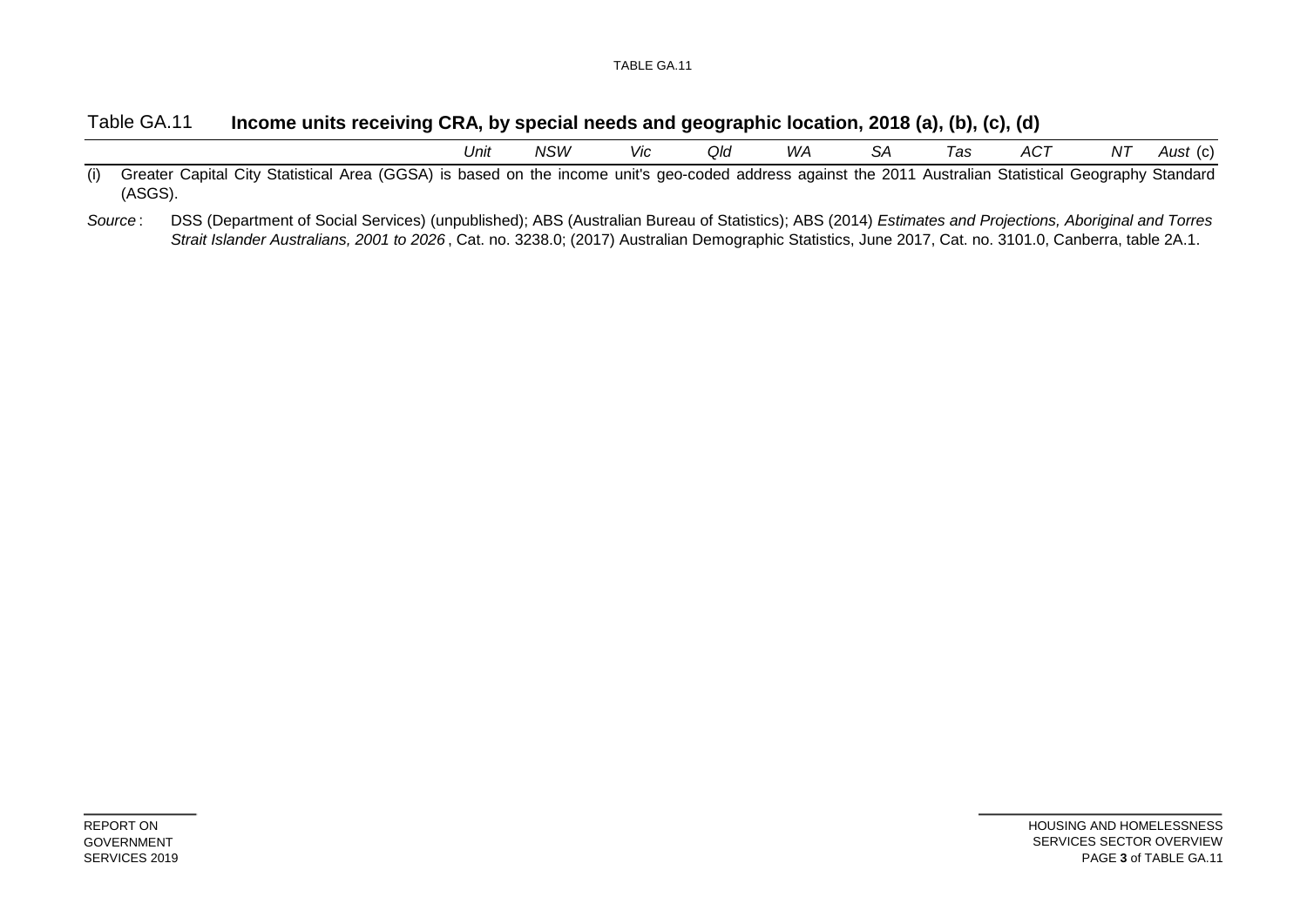### Table GA.11 **Income units receiving CRA, by special needs and geographic location, 2018 (a), (b), (c), (d)**

| Unit | NSW | Vic | Q/d<br>the contract of the contract of the | M/A<br>,,, | SЕ | l as | $AC^{\tau}$ | .<br>NL.<br>, , , | $\Lambda$ i ic<br>$\sim$<br>านจเ<br>,,,, |
|------|-----|-----|--------------------------------------------|------------|----|------|-------------|-------------------|------------------------------------------|
|      |     |     |                                            |            |    |      |             |                   |                                          |

(i) Greater Capital City Statistical Area (GGSA) is based on the income unit's geo-coded address against the 2011 Australian Statistical Geography Standard (ASGS).

DSS (Department of Social Services) (unpublished); ABS (Australian Bureau of Statistics); ABS (2014) *Estimates and Projections, Aboriginal and Torres Strait Islander Australians, 2001 to 2026* , Cat. no. 3238.0; (2017) Australian Demographic Statistics, June 2017, Cat. no. 3101.0, Canberra, table 2A.1. *Source* :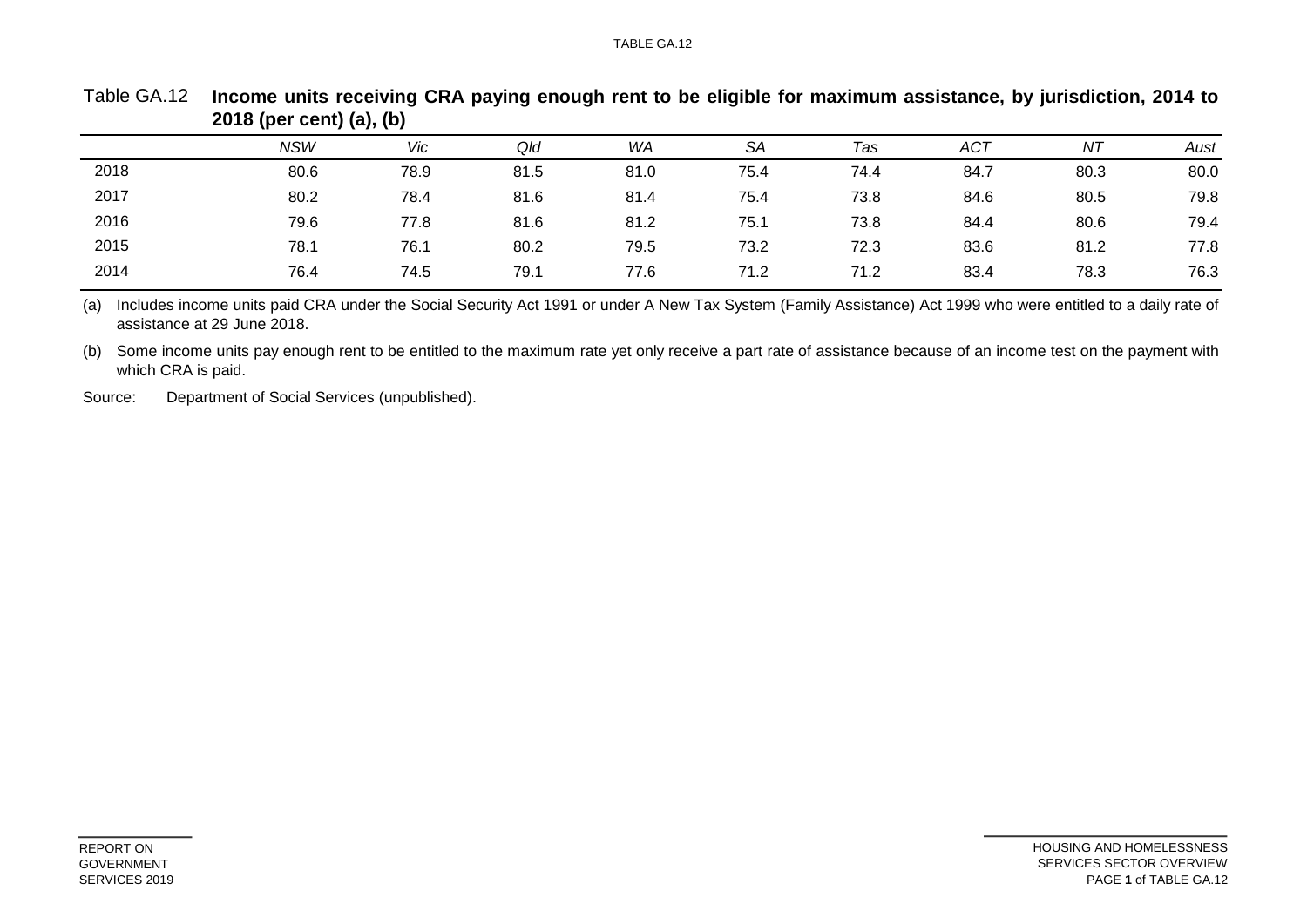#### TABLE GA.12

|      | ``         | , , , , , |      |      |           |      |            |      |      |
|------|------------|-----------|------|------|-----------|------|------------|------|------|
|      | <b>NSW</b> | Vic       | Qld  | WA   | <b>SA</b> | Tas  | <b>ACT</b> | NT   | Aust |
| 2018 | 80.6       | 78.9      | 81.5 | 81.0 | 75.4      | 74.4 | 84.7       | 80.3 | 80.0 |
| 2017 | 80.2       | 78.4      | 81.6 | 81.4 | 75.4      | 73.8 | 84.6       | 80.5 | 79.8 |
| 2016 | 79.6       | 77.8      | 81.6 | 81.2 | 75.1      | 73.8 | 84.4       | 80.6 | 79.4 |
| 2015 | 78.1       | 76.1      | 80.2 | 79.5 | 73.2      | 72.3 | 83.6       | 81.2 | 77.8 |
| 2014 | 76.4       | 74.5      | 79.1 | 77.6 | 71.2      | 71.2 | 83.4       | 78.3 | 76.3 |
|      |            |           |      |      |           |      |            |      |      |

Table GA.12 Income units receiving CRA paying enough rent to be eligible for maximum assistance, by jurisdiction, 2014 to **2018 (per cent) (a), (b)**

(a) Includes income units paid CRA under the Social Security Act 1991 or under A New Tax System (Family Assistance) Act 1999 who were entitled to a daily rate of assistance at 29 June 2018.

(b) Some income units pay enough rent to be entitled to the maximum rate yet only receive a part rate of assistance because of an income test on the payment with which CRA is paid.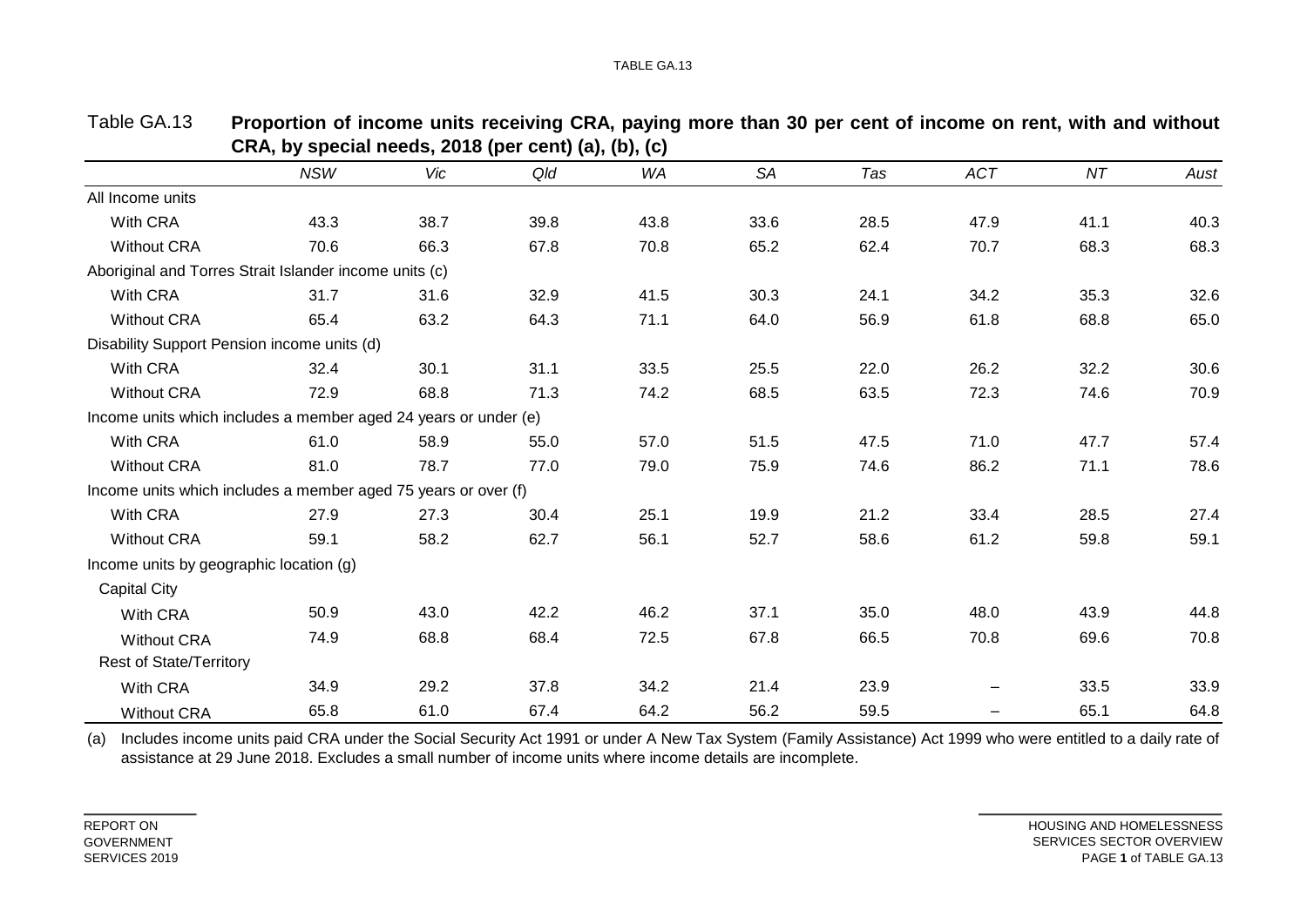|                                                                 | <b>NSW</b> | Vic  | Qld  | <b>WA</b> | SA   | Tas  | <b>ACT</b> | NT   | Aust |
|-----------------------------------------------------------------|------------|------|------|-----------|------|------|------------|------|------|
| All Income units                                                |            |      |      |           |      |      |            |      |      |
| With CRA                                                        | 43.3       | 38.7 | 39.8 | 43.8      | 33.6 | 28.5 | 47.9       | 41.1 | 40.3 |
| <b>Without CRA</b>                                              | 70.6       | 66.3 | 67.8 | 70.8      | 65.2 | 62.4 | 70.7       | 68.3 | 68.3 |
| Aboriginal and Torres Strait Islander income units (c)          |            |      |      |           |      |      |            |      |      |
| With CRA                                                        | 31.7       | 31.6 | 32.9 | 41.5      | 30.3 | 24.1 | 34.2       | 35.3 | 32.6 |
| <b>Without CRA</b>                                              | 65.4       | 63.2 | 64.3 | 71.1      | 64.0 | 56.9 | 61.8       | 68.8 | 65.0 |
| Disability Support Pension income units (d)                     |            |      |      |           |      |      |            |      |      |
| With CRA                                                        | 32.4       | 30.1 | 31.1 | 33.5      | 25.5 | 22.0 | 26.2       | 32.2 | 30.6 |
| <b>Without CRA</b>                                              | 72.9       | 68.8 | 71.3 | 74.2      | 68.5 | 63.5 | 72.3       | 74.6 | 70.9 |
| Income units which includes a member aged 24 years or under (e) |            |      |      |           |      |      |            |      |      |
| With CRA                                                        | 61.0       | 58.9 | 55.0 | 57.0      | 51.5 | 47.5 | 71.0       | 47.7 | 57.4 |
| <b>Without CRA</b>                                              | 81.0       | 78.7 | 77.0 | 79.0      | 75.9 | 74.6 | 86.2       | 71.1 | 78.6 |
| Income units which includes a member aged 75 years or over (f)  |            |      |      |           |      |      |            |      |      |
| With CRA                                                        | 27.9       | 27.3 | 30.4 | 25.1      | 19.9 | 21.2 | 33.4       | 28.5 | 27.4 |
| <b>Without CRA</b>                                              | 59.1       | 58.2 | 62.7 | 56.1      | 52.7 | 58.6 | 61.2       | 59.8 | 59.1 |
| Income units by geographic location (g)                         |            |      |      |           |      |      |            |      |      |
| <b>Capital City</b>                                             |            |      |      |           |      |      |            |      |      |
| With CRA                                                        | 50.9       | 43.0 | 42.2 | 46.2      | 37.1 | 35.0 | 48.0       | 43.9 | 44.8 |
| <b>Without CRA</b>                                              | 74.9       | 68.8 | 68.4 | 72.5      | 67.8 | 66.5 | 70.8       | 69.6 | 70.8 |
| <b>Rest of State/Territory</b>                                  |            |      |      |           |      |      |            |      |      |
| With CRA                                                        | 34.9       | 29.2 | 37.8 | 34.2      | 21.4 | 23.9 |            | 33.5 | 33.9 |
| <b>Without CRA</b>                                              | 65.8       | 61.0 | 67.4 | 64.2      | 56.2 | 59.5 |            | 65.1 | 64.8 |

| Table GA.13 | Proportion of income units receiving CRA, paying more than 30 per cent of income on rent, with and without |
|-------------|------------------------------------------------------------------------------------------------------------|
|             | CRA, by special needs, 2018 (per cent) (a), (b), (c)                                                       |

(a) Includes income units paid CRA under the Social Security Act 1991 or under A New Tax System (Family Assistance) Act 1999 who were entitled to a daily rate of assistance at 29 June 2018. Excludes a small number of income units where income details are incomplete.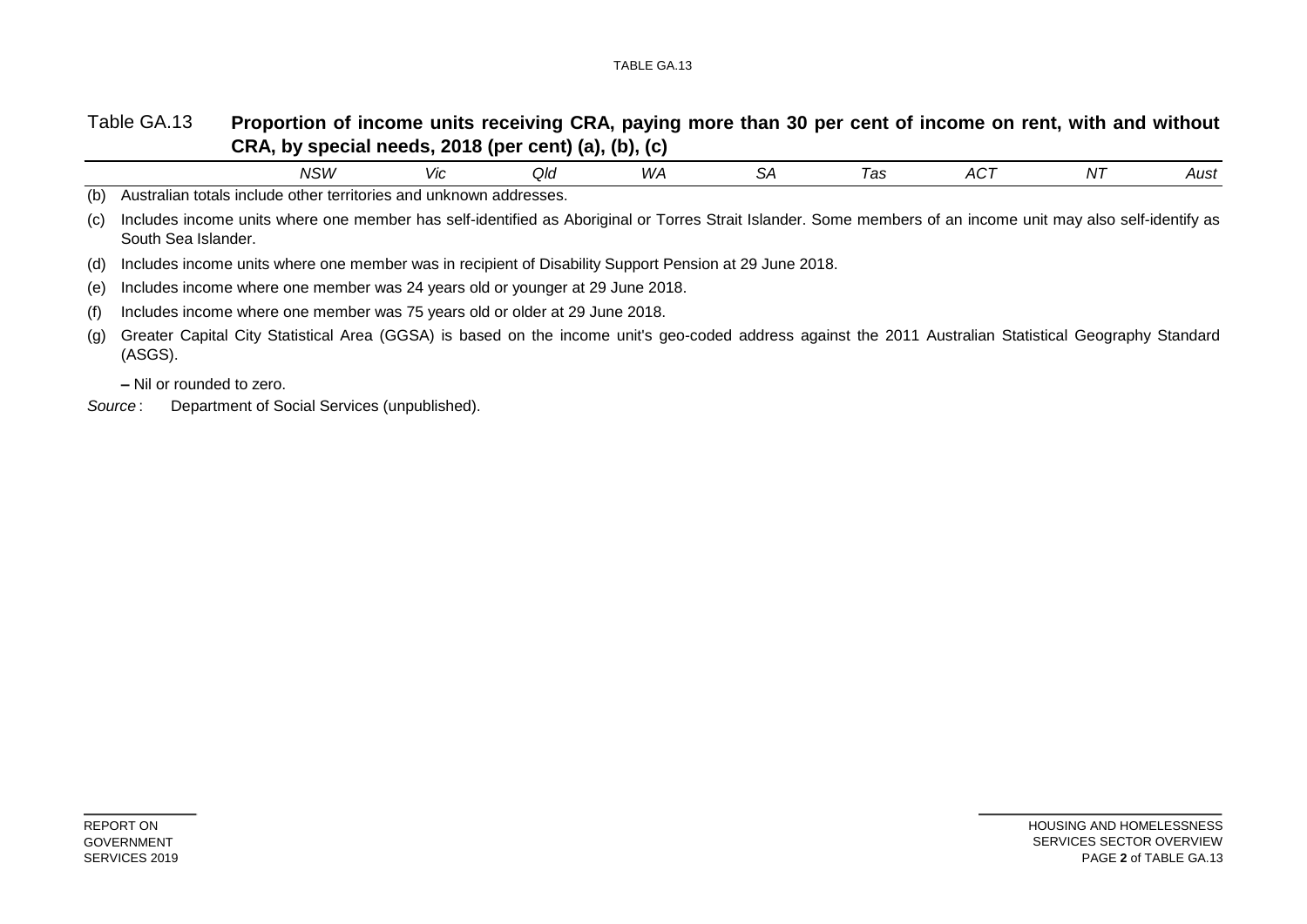#### Table GA.13 Proportion of income units receiving CRA, paying more than 30 per cent of income on rent, with and without **CRA, by special needs, 2018 (per cent) (a), (b), (c)**

|     |                                                                                                                                                                                     | <b>NSW</b> | Vic | Qld | WA | SА | Tas | ACT | N7 | Aust |
|-----|-------------------------------------------------------------------------------------------------------------------------------------------------------------------------------------|------------|-----|-----|----|----|-----|-----|----|------|
| (b) | Australian totals include other territories and unknown addresses.                                                                                                                  |            |     |     |    |    |     |     |    |      |
| (c) | Includes income units where one member has self-identified as Aboriginal or Torres Strait Islander. Some members of an income unit may also self-identify as<br>South Sea Islander. |            |     |     |    |    |     |     |    |      |
| (d) | Includes income units where one member was in recipient of Disability Support Pension at 29 June 2018.                                                                              |            |     |     |    |    |     |     |    |      |
| (e) | Includes income where one member was 24 years old or younger at 29 June 2018.                                                                                                       |            |     |     |    |    |     |     |    |      |
| (f) | Includes income where one member was 75 years old or older at 29 June 2018.                                                                                                         |            |     |     |    |    |     |     |    |      |
| (g) | Greater Capital City Statistical Area (GGSA) is based on the income unit's geo-coded address against the 2011 Australian Statistical Geography Standard<br>(ASGS).                  |            |     |     |    |    |     |     |    |      |

**–** Nil or rounded to zero.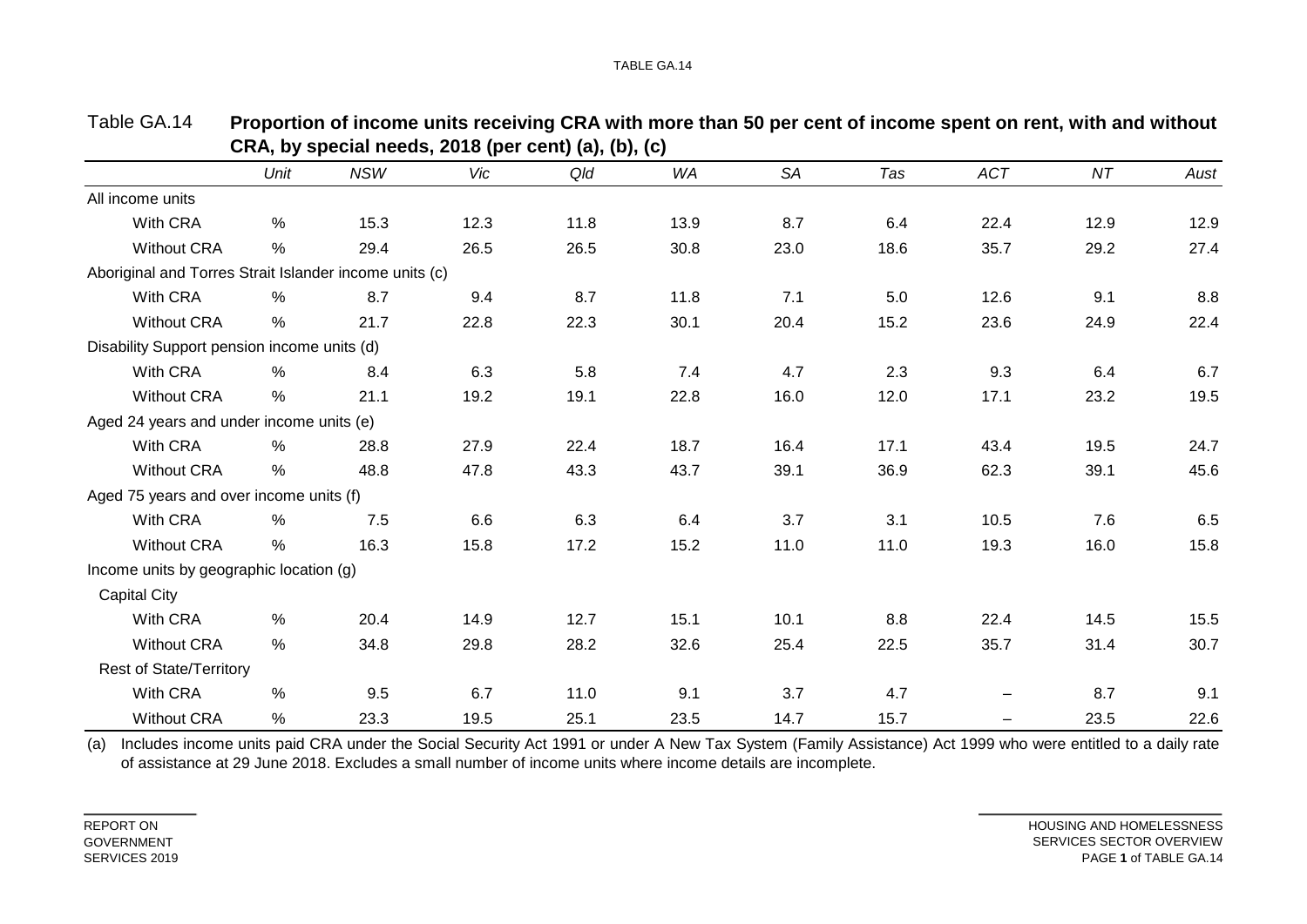|                                                        | Unit          | <b>NSW</b> | Vic  | $(4)$ , $(5)$ , $(6)$ , $(7)$ , $(8)$ , $(9)$<br>Qld | <b>WA</b> | <b>SA</b> | Tas  | <b>ACT</b>               | NT   | Aust |
|--------------------------------------------------------|---------------|------------|------|------------------------------------------------------|-----------|-----------|------|--------------------------|------|------|
|                                                        |               |            |      |                                                      |           |           |      |                          |      |      |
| All income units                                       |               |            |      |                                                      |           |           |      |                          |      |      |
| With CRA                                               | $\%$          | 15.3       | 12.3 | 11.8                                                 | 13.9      | 8.7       | 6.4  | 22.4                     | 12.9 | 12.9 |
| <b>Without CRA</b>                                     | $\%$          | 29.4       | 26.5 | 26.5                                                 | 30.8      | 23.0      | 18.6 | 35.7                     | 29.2 | 27.4 |
| Aboriginal and Torres Strait Islander income units (c) |               |            |      |                                                      |           |           |      |                          |      |      |
| With CRA                                               | %             | 8.7        | 9.4  | 8.7                                                  | 11.8      | 7.1       | 5.0  | 12.6                     | 9.1  | 8.8  |
| <b>Without CRA</b>                                     | $\%$          | 21.7       | 22.8 | 22.3                                                 | 30.1      | 20.4      | 15.2 | 23.6                     | 24.9 | 22.4 |
| Disability Support pension income units (d)            |               |            |      |                                                      |           |           |      |                          |      |      |
| With CRA                                               | $\frac{0}{0}$ | 8.4        | 6.3  | 5.8                                                  | 7.4       | 4.7       | 2.3  | 9.3                      | 6.4  | 6.7  |
| <b>Without CRA</b>                                     | $\%$          | 21.1       | 19.2 | 19.1                                                 | 22.8      | 16.0      | 12.0 | 17.1                     | 23.2 | 19.5 |
| Aged 24 years and under income units (e)               |               |            |      |                                                      |           |           |      |                          |      |      |
| With CRA                                               | %             | 28.8       | 27.9 | 22.4                                                 | 18.7      | 16.4      | 17.1 | 43.4                     | 19.5 | 24.7 |
| <b>Without CRA</b>                                     | %             | 48.8       | 47.8 | 43.3                                                 | 43.7      | 39.1      | 36.9 | 62.3                     | 39.1 | 45.6 |
| Aged 75 years and over income units (f)                |               |            |      |                                                      |           |           |      |                          |      |      |
| With CRA                                               | $\frac{0}{0}$ | 7.5        | 6.6  | 6.3                                                  | 6.4       | 3.7       | 3.1  | 10.5                     | 7.6  | 6.5  |
| <b>Without CRA</b>                                     | $\%$          | 16.3       | 15.8 | 17.2                                                 | 15.2      | 11.0      | 11.0 | 19.3                     | 16.0 | 15.8 |
| Income units by geographic location (g)                |               |            |      |                                                      |           |           |      |                          |      |      |
| <b>Capital City</b>                                    |               |            |      |                                                      |           |           |      |                          |      |      |
| With CRA                                               | %             | 20.4       | 14.9 | 12.7                                                 | 15.1      | 10.1      | 8.8  | 22.4                     | 14.5 | 15.5 |
| <b>Without CRA</b>                                     | %             | 34.8       | 29.8 | 28.2                                                 | 32.6      | 25.4      | 22.5 | 35.7                     | 31.4 | 30.7 |
| <b>Rest of State/Territory</b>                         |               |            |      |                                                      |           |           |      |                          |      |      |
| With CRA                                               | $\frac{0}{0}$ | 9.5        | 6.7  | 11.0                                                 | 9.1       | 3.7       | 4.7  | $\overline{\phantom{m}}$ | 8.7  | 9.1  |
| <b>Without CRA</b>                                     | $\%$          | 23.3       | 19.5 | 25.1                                                 | 23.5      | 14.7      | 15.7 | $\qquad \qquad \qquad$   | 23.5 | 22.6 |

| Table GA.14 | Proportion of income units receiving CRA with more than 50 per cent of income spent on rent, with and without |
|-------------|---------------------------------------------------------------------------------------------------------------|
|             | CRA, by special needs, 2018 (per cent) (a), (b), (c)                                                          |

(a) Includes income units paid CRA under the Social Security Act 1991 or under A New Tax System (Family Assistance) Act 1999 who were entitled to a daily rate of assistance at 29 June 2018. Excludes a small number of income units where income details are incomplete.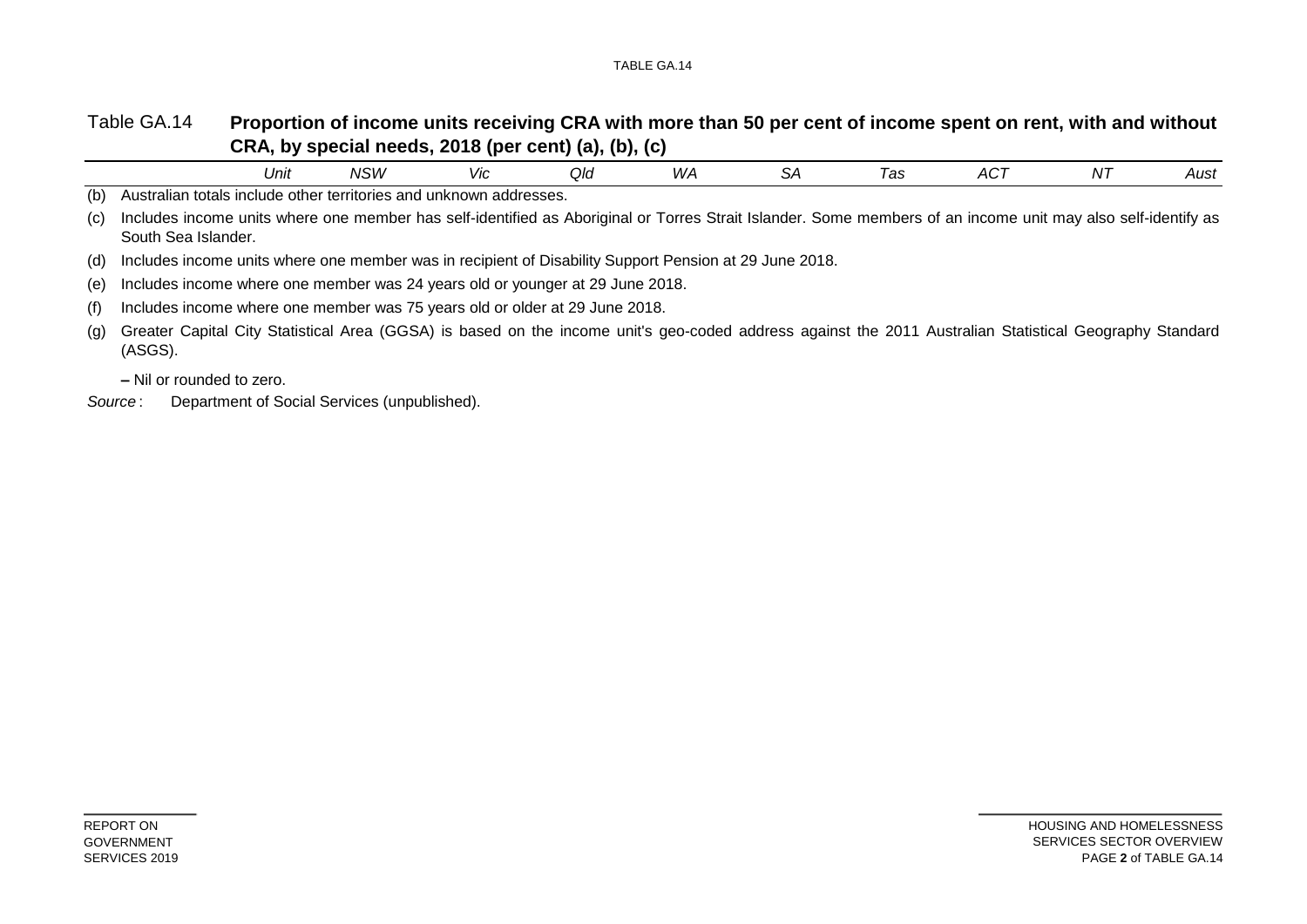#### Table GA.14 **Proportion of income units receiving CRA with more than 50 per cent of income spent on rent, with and without CRA, by special needs, 2018 (per cent) (a), (b), (c)**

|     |                                                                                                                                                                                     | Unit | NSW | Vic. | Qld | WA | SА | Tas | ACT | N7 | Aust |
|-----|-------------------------------------------------------------------------------------------------------------------------------------------------------------------------------------|------|-----|------|-----|----|----|-----|-----|----|------|
| (b) | Australian totals include other territories and unknown addresses.                                                                                                                  |      |     |      |     |    |    |     |     |    |      |
| (C) | Includes income units where one member has self-identified as Aboriginal or Torres Strait Islander. Some members of an income unit may also self-identify as<br>South Sea Islander. |      |     |      |     |    |    |     |     |    |      |
| (d) | Includes income units where one member was in recipient of Disability Support Pension at 29 June 2018.                                                                              |      |     |      |     |    |    |     |     |    |      |
| (e) | Includes income where one member was 24 years old or younger at 29 June 2018.                                                                                                       |      |     |      |     |    |    |     |     |    |      |
| (f) | Includes income where one member was 75 years old or older at 29 June 2018.                                                                                                         |      |     |      |     |    |    |     |     |    |      |
| (g) | Greater Capital City Statistical Area (GGSA) is based on the income unit's geo-coded address against the 2011 Australian Statistical Geography Standard<br>(ASGS).                  |      |     |      |     |    |    |     |     |    |      |

**–** Nil or rounded to zero.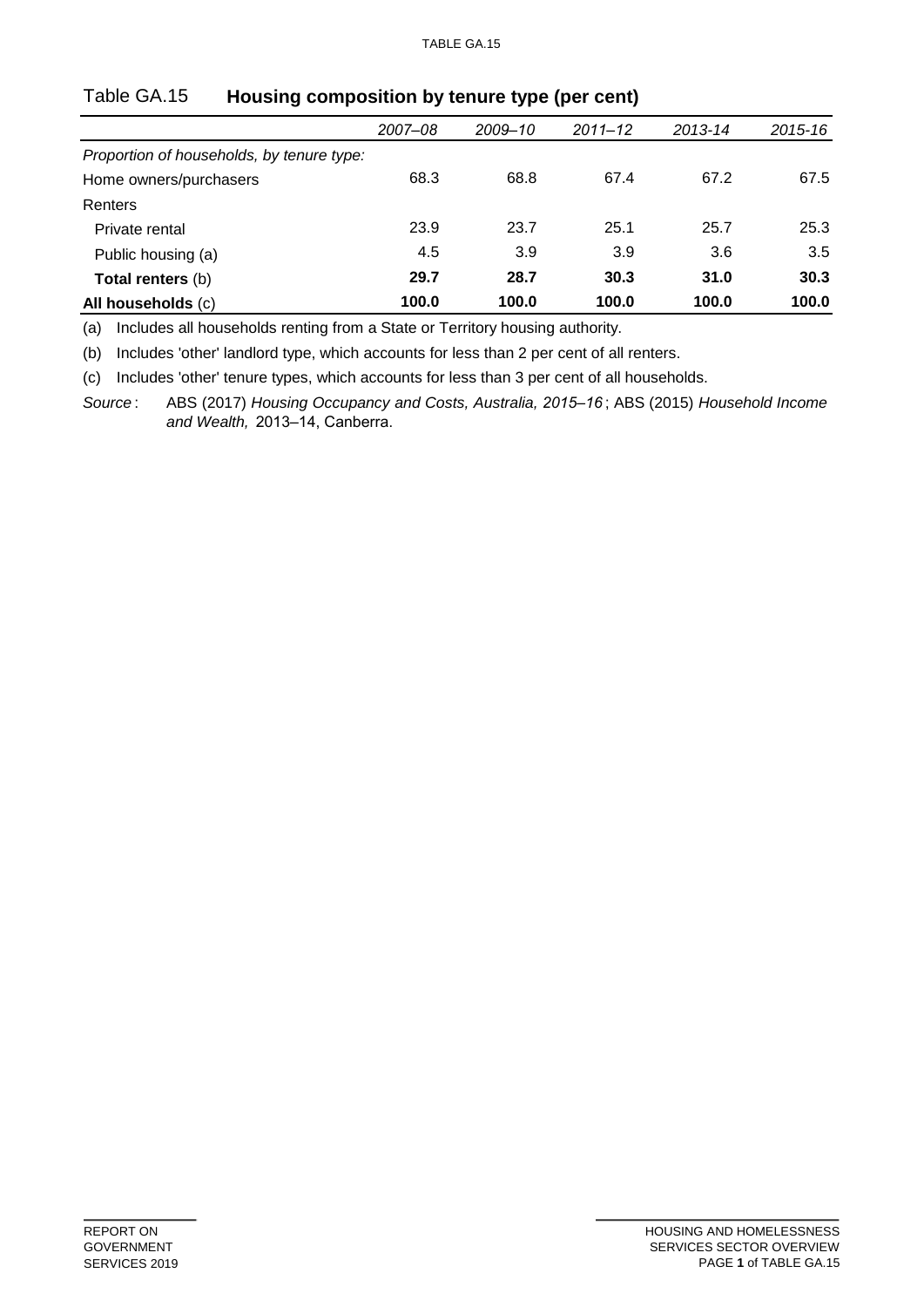|                                           | 2007-08 | 2009-10 | $2011 - 12$ | 2013-14 | 2015-16 |
|-------------------------------------------|---------|---------|-------------|---------|---------|
| Proportion of households, by tenure type: |         |         |             |         |         |
| Home owners/purchasers                    | 68.3    | 68.8    | 67.4        | 67.2    | 67.5    |
| Renters                                   |         |         |             |         |         |
| Private rental                            | 23.9    | 23.7    | 25.1        | 25.7    | 25.3    |
| Public housing (a)                        | 4.5     | 3.9     | 3.9         | 3.6     | 3.5     |
| Total renters (b)                         | 29.7    | 28.7    | 30.3        | 31.0    | 30.3    |
| All households (c)                        | 100.0   | 100.0   | 100.0       | 100.0   | 100.0   |

### Table GA.15 **Housing composition by tenure type (per cent)**

(a) Includes all households renting from a State or Territory housing authority.

(b) Includes 'other' landlord type, which accounts for less than 2 per cent of all renters.

(c) Includes 'other' tenure types, which accounts for less than 3 per cent of all households.

*Source* : ABS (2017) *Housing Occupancy and Costs, Australia, 2015–16* ; ABS (2015) *Household Income and Wealth,* 2013–14, Canberra.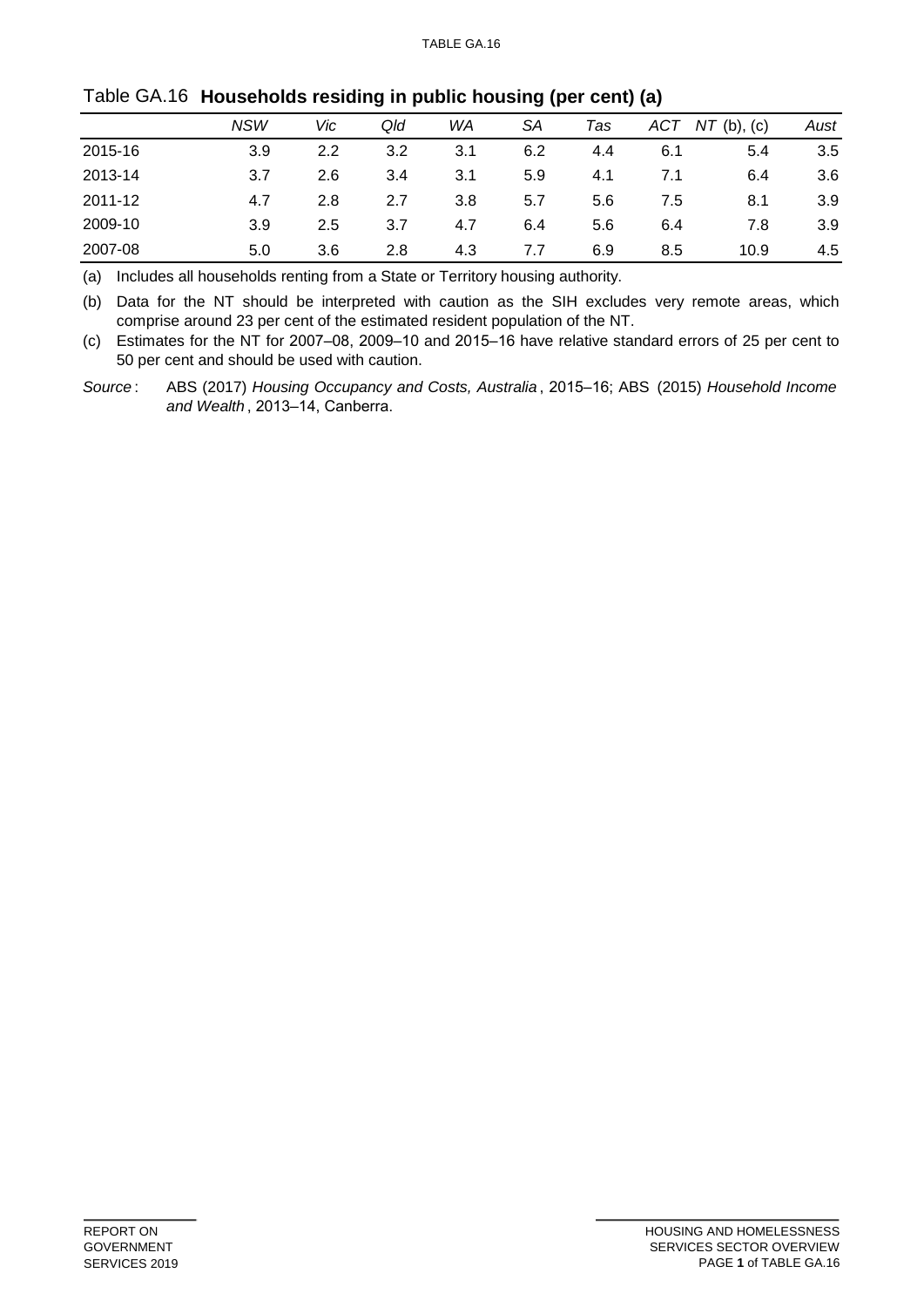|         | NSW | Vic | Qld | WA  | SА  | Tas | ACT | $NT$ (b), (c) | Aust |
|---------|-----|-----|-----|-----|-----|-----|-----|---------------|------|
| 2015-16 | 3.9 | 2.2 | 3.2 | 3.1 | 6.2 | 4.4 | 6.1 | 5.4           | 3.5  |
| 2013-14 | 3.7 | 2.6 | 3.4 | 3.1 | 5.9 | 4.1 | 7.1 | 6.4           | 3.6  |
| 2011-12 | 4.7 | 2.8 | 2.7 | 3.8 | 5.7 | 5.6 | 7.5 | 8.1           | 3.9  |
| 2009-10 | 3.9 | 2.5 | 3.7 | 4.7 | 6.4 | 5.6 | 6.4 | 7.8           | 3.9  |
| 2007-08 | 5.0 | 3.6 | 2.8 | 4.3 | 7.7 | 6.9 | 8.5 | 10.9          | 4.5  |

### Table GA.16 **Households residing in public housing (per cent) (a)**

(a) Includes all households renting from a State or Territory housing authority.

(b) Data for the NT should be interpreted with caution as the SIH excludes very remote areas, which comprise around 23 per cent of the estimated resident population of the NT.

(c) Estimates for the NT for 2007–08, 2009–10 and 2015–16 have relative standard errors of 25 per cent to 50 per cent and should be used with caution.

*Source* : ABS (2017) *Housing Occupancy and Costs, Australia* , 2015–16; ABS (2015) *Household Income and Wealth* , 2013–14, Canberra.